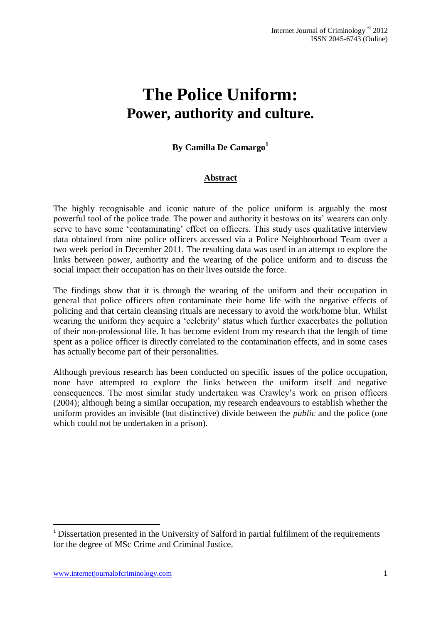# **The Police Uniform: Power, authority and culture.**

# **By Camilla De Camargo<sup>1</sup>**

# **Abstract**

The highly recognisable and iconic nature of the police uniform is arguably the most powerful tool of the police trade. The power and authority it bestows on its' wearers can only serve to have some 'contaminating' effect on officers. This study uses qualitative interview data obtained from nine police officers accessed via a Police Neighbourhood Team over a two week period in December 2011. The resulting data was used in an attempt to explore the links between power, authority and the wearing of the police uniform and to discuss the social impact their occupation has on their lives outside the force.

The findings show that it is through the wearing of the uniform and their occupation in general that police officers often contaminate their home life with the negative effects of policing and that certain cleansing rituals are necessary to avoid the work/home blur. Whilst wearing the uniform they acquire a 'celebrity' status which further exacerbates the pollution of their non-professional life. It has become evident from my research that the length of time spent as a police officer is directly correlated to the contamination effects, and in some cases has actually become part of their personalities.

Although previous research has been conducted on specific issues of the police occupation, none have attempted to explore the links between the uniform itself and negative consequences. The most similar study undertaken was Crawley's work on prison officers (2004); although being a similar occupation, my research endeavours to establish whether the uniform provides an invisible (but distinctive) divide between the *public* and the police (one which could not be undertaken in a prison).

1

<sup>&</sup>lt;sup>1</sup> Dissertation presented in the University of Salford in partial fulfilment of the requirements for the degree of MSc Crime and Criminal Justice.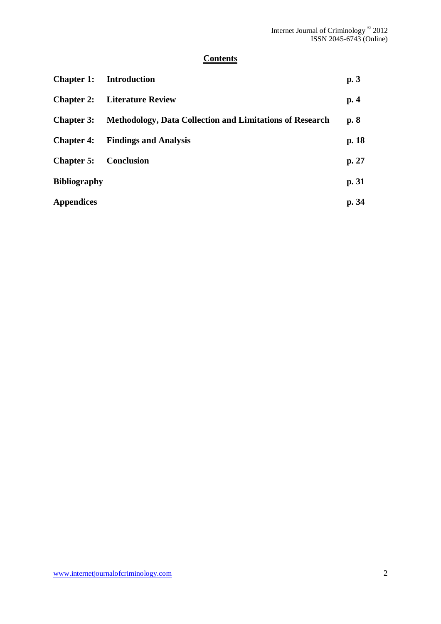# **Contents**

| <b>Chapter 1:</b> Introduction |                                                                 | p.3   |  |
|--------------------------------|-----------------------------------------------------------------|-------|--|
|                                | <b>Chapter 2:</b> Literature Review                             |       |  |
| <b>Chapter 3:</b>              | <b>Methodology, Data Collection and Limitations of Research</b> |       |  |
|                                | <b>Chapter 4:</b> Findings and Analysis                         | p. 18 |  |
| <b>Chapter 5:</b>              | <b>Conclusion</b>                                               | p. 27 |  |
| <b>Bibliography</b>            |                                                                 | p. 31 |  |
| <b>Appendices</b>              |                                                                 | p. 34 |  |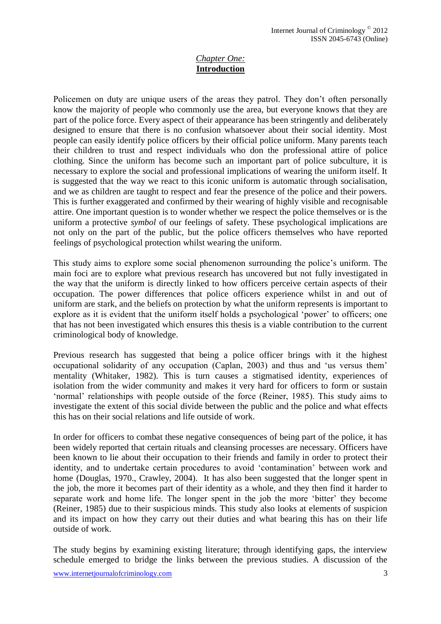## *Chapter One:* **Introduction**

Policemen on duty are unique users of the areas they patrol. They don't often personally know the majority of people who commonly use the area, but everyone knows that they are part of the police force. Every aspect of their appearance has been stringently and deliberately designed to ensure that there is no confusion whatsoever about their social identity. Most people can easily identify police officers by their official police uniform. Many parents teach their children to trust and respect individuals who don the professional attire of police clothing. Since the uniform has become such an important part of police subculture, it is necessary to explore the social and professional implications of wearing the uniform itself. It is suggested that the way we react to this iconic uniform is automatic through socialisation, and we as children are taught to respect and fear the presence of the police and their powers. This is further exaggerated and confirmed by their wearing of highly visible and recognisable attire. One important question is to wonder whether we respect the police themselves or is the uniform a protective *symbol* of our feelings of safety. These psychological implications are not only on the part of the public, but the police officers themselves who have reported feelings of psychological protection whilst wearing the uniform.

This study aims to explore some social phenomenon surrounding the police's uniform. The main foci are to explore what previous research has uncovered but not fully investigated in the way that the uniform is directly linked to how officers perceive certain aspects of their occupation. The power differences that police officers experience whilst in and out of uniform are stark, and the beliefs on protection by what the uniform represents is important to explore as it is evident that the uniform itself holds a psychological 'power' to officers; one that has not been investigated which ensures this thesis is a viable contribution to the current criminological body of knowledge.

Previous research has suggested that being a police officer brings with it the highest occupational solidarity of any occupation (Caplan, 2003) and thus and 'us versus them' mentality (Whitaker, 1982). This is turn causes a stigmatised identity, experiences of isolation from the wider community and makes it very hard for officers to form or sustain 'normal' relationships with people outside of the force (Reiner, 1985). This study aims to investigate the extent of this social divide between the public and the police and what effects this has on their social relations and life outside of work.

In order for officers to combat these negative consequences of being part of the police, it has been widely reported that certain rituals and cleansing processes are necessary. Officers have been known to lie about their occupation to their friends and family in order to protect their identity, and to undertake certain procedures to avoid 'contamination' between work and home (Douglas, 1970., Crawley, 2004). It has also been suggested that the longer spent in the job, the more it becomes part of their identity as a whole, and they then find it harder to separate work and home life. The longer spent in the job the more 'bitter' they become (Reiner, 1985) due to their suspicious minds. This study also looks at elements of suspicion and its impact on how they carry out their duties and what bearing this has on their life outside of work.

The study begins by examining existing literature; through identifying gaps, the interview schedule emerged to bridge the links between the previous studies. A discussion of the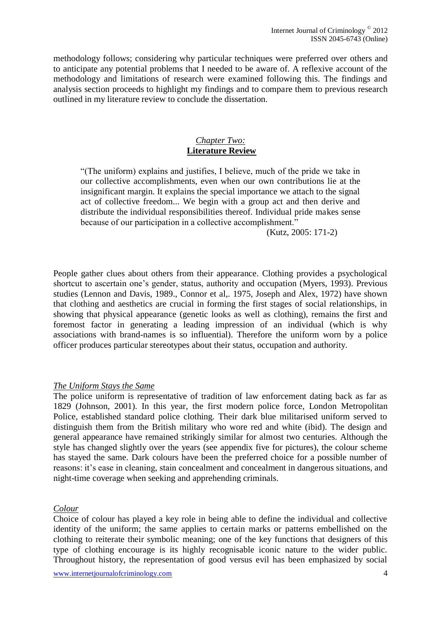methodology follows; considering why particular techniques were preferred over others and to anticipate any potential problems that I needed to be aware of. A reflexive account of the methodology and limitations of research were examined following this. The findings and analysis section proceeds to highlight my findings and to compare them to previous research outlined in my literature review to conclude the dissertation.

#### *Chapter Two:*  **Literature Review**

"(The uniform) explains and justifies, I believe, much of the pride we take in our collective accomplishments, even when our own contributions lie at the insignificant margin. It explains the special importance we attach to the signal act of collective freedom... We begin with a group act and then derive and distribute the individual responsibilities thereof. Individual pride makes sense because of our participation in a collective accomplishment."

(Kutz, 2005: 171-2)

People gather clues about others from their appearance. Clothing provides a psychological shortcut to ascertain one's gender, status, authority and occupation (Myers, 1993). Previous studies (Lennon and Davis, 1989., Connor et al,. 1975, Joseph and Alex, 1972) have shown that clothing and aesthetics are crucial in forming the first stages of social relationships, in showing that physical appearance (genetic looks as well as clothing), remains the first and foremost factor in generating a leading impression of an individual (which is why associations with brand-names is so influential). Therefore the uniform worn by a police officer produces particular stereotypes about their status, occupation and authority.

#### *The Uniform Stays the Same*

The police uniform is representative of tradition of law enforcement dating back as far as 1829 (Johnson, 2001). In this year, the first modern police force, London Metropolitan Police, established standard police clothing. Their dark blue militarised uniform served to distinguish them from the British military who wore red and white (ibid). The design and general appearance have remained strikingly similar for almost two centuries. Although the style has changed slightly over the years (see appendix five for pictures), the colour scheme has stayed the same. Dark colours have been the preferred choice for a possible number of reasons: it's ease in cleaning, stain concealment and concealment in dangerous situations, and night-time coverage when seeking and apprehending criminals.

#### *Colour*

Choice of colour has played a key role in being able to define the individual and collective identity of the uniform; the same applies to certain marks or patterns embellished on the clothing to reiterate their symbolic meaning; one of the key functions that designers of this type of clothing encourage is its highly recognisable iconic nature to the wider public. Throughout history, the representation of good versus evil has been emphasized by social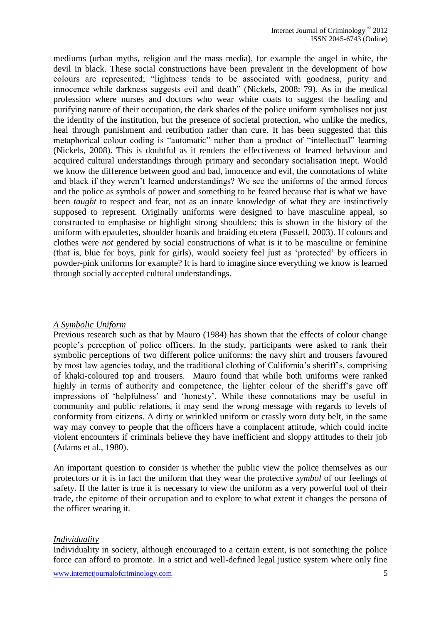mediums (urban myths, religion and the mass media), for example the angel in white, the devil in black. These social constructions have been prevalent in the development of how colours are represented; "lightness tends to be associated with goodness, purity and innocence while darkness suggests evil and death" (Nickels, 2008: 79). As in the medical profession where nurses and doctors who wear white coats to suggest the healing and purifying nature of their occupation, the dark shades of the police uniform symbolises not just the identity of the institution, but the presence of societal protection, who unlike the medics, heal through punishment and retribution rather than cure. It has been suggested that this metaphorical colour coding is "automatic" rather than a product of "intellectual" learning (Nickels, 2008). This is doubtful as it renders the effectiveness of learned behaviour and acquired cultural understandings through primary and secondary socialisation inept. Would we know the difference between good and bad, innocence and evil, the connotations of white and black if they weren't learned understandings? We see the uniforms of the armed forces and the police as symbols of power and something to be feared because that is what we have been *taught* to respect and fear, not as an innate knowledge of what they are instinctively supposed to represent. Originally uniforms were designed to have masculine appeal, so constructed to emphasise or highlight strong shoulders; this is shown in the history of the uniform with epaulettes, shoulder boards and braiding etcetera (Fussell, 2003). If colours and clothes were *not* gendered by social constructions of what is it to be masculine or feminine (that is, blue for boys, pink for girls), would society feel just as 'protected' by officers in powder-pink uniforms for example? It is hard to imagine since everything we know is learned through socially accepted cultural understandings.

#### *A Symbolic Uniform*

Previous research such as that by Mauro (1984) has shown that the effects of colour change people's perception of police officers. In the study, participants were asked to rank their symbolic perceptions of two different police uniforms: the navy shirt and trousers favoured by most law agencies today, and the traditional clothing of California's sheriff's, comprising of khaki-coloured top and trousers. Mauro found that while both uniforms were ranked highly in terms of authority and competence, the lighter colour of the sheriff's gave off impressions of 'helpfulness' and 'honesty'. While these connotations may be useful in community and public relations, it may send the wrong message with regards to levels of conformity from citizens. A dirty or wrinkled uniform or crassly worn duty belt, in the same way may convey to people that the officers have a complacent attitude, which could incite violent encounters if criminals believe they have inefficient and sloppy attitudes to their job (Adams et al., 1980).

An important question to consider is whether the public view the police themselves as our protectors or it is in fact the uniform that they wear the protective *symbol* of our feelings of safety. If the latter is true it is necessary to view the uniform as a very powerful tool of their trade, the epitome of their occupation and to explore to what extent it changes the persona of the officer wearing it.

#### *Individuality*

Individuality in society, although encouraged to a certain extent, is not something the police force can afford to promote. In a strict and well-defined legal justice system where only fine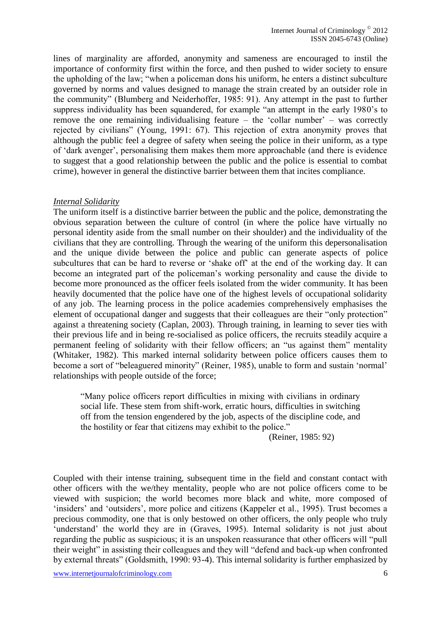lines of marginality are afforded, anonymity and sameness are encouraged to instil the importance of conformity first within the force, and then pushed to wider society to ensure the upholding of the law; "when a policeman dons his uniform, he enters a distinct subculture governed by norms and values designed to manage the strain created by an outsider role in the community" (Blumberg and Neiderhoffer, 1985: 91). Any attempt in the past to further suppress individuality has been squandered, for example "an attempt in the early 1980's to remove the one remaining individualising feature – the 'collar number' – was correctly rejected by civilians" (Young, 1991: 67). This rejection of extra anonymity proves that although the public feel a degree of safety when seeing the police in their uniform, as a type of 'dark avenger', personalising them makes them more approachable (and there is evidence to suggest that a good relationship between the public and the police is essential to combat crime), however in general the distinctive barrier between them that incites compliance.

#### *Internal Solidarity*

The uniform itself is a distinctive barrier between the public and the police, demonstrating the obvious separation between the culture of control (in where the police have virtually no personal identity aside from the small number on their shoulder) and the individuality of the civilians that they are controlling. Through the wearing of the uniform this depersonalisation and the unique divide between the police and public can generate aspects of police subcultures that can be hard to reverse or 'shake off' at the end of the working day. It can become an integrated part of the policeman's working personality and cause the divide to become more pronounced as the officer feels isolated from the wider community. It has been heavily documented that the police have one of the highest levels of occupational solidarity of any job. The learning process in the police academies comprehensively emphasises the element of occupational danger and suggests that their colleagues are their "only protection" against a threatening society (Caplan, 2003). Through training, in learning to sever ties with their previous life and in being re-socialised as police officers, the recruits steadily acquire a permanent feeling of solidarity with their fellow officers; an "us against them" mentality (Whitaker, 1982). This marked internal solidarity between police officers causes them to become a sort of "beleaguered minority" (Reiner, 1985), unable to form and sustain 'normal' relationships with people outside of the force;

"Many police officers report difficulties in mixing with civilians in ordinary social life. These stem from shift-work, erratic hours, difficulties in switching off from the tension engendered by the job, aspects of the discipline code, and the hostility or fear that citizens may exhibit to the police."

(Reiner, 1985: 92)

Coupled with their intense training, subsequent time in the field and constant contact with other officers with the we/they mentality, people who are not police officers come to be viewed with suspicion; the world becomes more black and white, more composed of 'insiders' and 'outsiders', more police and citizens (Kappeler et al., 1995). Trust becomes a precious commodity, one that is only bestowed on other officers, the only people who truly 'understand' the world they are in (Graves, 1995). Internal solidarity is not just about regarding the public as suspicious; it is an unspoken reassurance that other officers will "pull their weight" in assisting their colleagues and they will "defend and back-up when confronted by external threats" (Goldsmith, 1990: 93-4). This internal solidarity is further emphasized by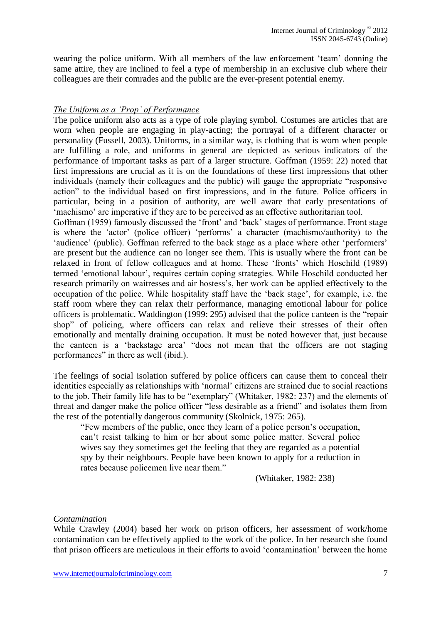wearing the police uniform. With all members of the law enforcement 'team' donning the same attire, they are inclined to feel a type of membership in an exclusive club where their colleagues are their comrades and the public are the ever-present potential enemy.

## *The Uniform as a 'Prop' of Performance*

The police uniform also acts as a type of role playing symbol. Costumes are articles that are worn when people are engaging in play-acting; the portrayal of a different character or personality (Fussell, 2003). Uniforms, in a similar way, is clothing that is worn when people are fulfilling a role, and uniforms in general are depicted as serious indicators of the performance of important tasks as part of a larger structure. Goffman (1959: 22) noted that first impressions are crucial as it is on the foundations of these first impressions that other individuals (namely their colleagues and the public) will gauge the appropriate "responsive action" to the individual based on first impressions, and in the future. Police officers in particular, being in a position of authority, are well aware that early presentations of 'machismo' are imperative if they are to be perceived as an effective authoritarian tool.

Goffman (1959) famously discussed the 'front' and 'back' stages of performance. Front stage is where the 'actor' (police officer) 'performs' a character (machismo/authority) to the 'audience' (public). Goffman referred to the back stage as a place where other 'performers' are present but the audience can no longer see them. This is usually where the front can be relaxed in front of fellow colleagues and at home. These 'fronts' which Hoschild (1989) termed 'emotional labour', requires certain coping strategies. While Hoschild conducted her research primarily on waitresses and air hostess's, her work can be applied effectively to the occupation of the police. While hospitality staff have the 'back stage', for example, i.e. the staff room where they can relax their performance, managing emotional labour for police officers is problematic. Waddington (1999: 295) advised that the police canteen is the "repair shop" of policing, where officers can relax and relieve their stresses of their often emotionally and mentally draining occupation. It must be noted however that, just because the canteen is a 'backstage area' "does not mean that the officers are not staging performances" in there as well (ibid.).

The feelings of social isolation suffered by police officers can cause them to conceal their identities especially as relationships with 'normal' citizens are strained due to social reactions to the job. Their family life has to be "exemplary" (Whitaker, 1982: 237) and the elements of threat and danger make the police officer "less desirable as a friend" and isolates them from the rest of the potentially dangerous community (Skolnick, 1975: 265).

"Few members of the public, once they learn of a police person's occupation, can't resist talking to him or her about some police matter. Several police wives say they sometimes get the feeling that they are regarded as a potential spy by their neighbours. People have been known to apply for a reduction in rates because policemen live near them."

(Whitaker, 1982: 238)

#### *Contamination*

While Crawley (2004) based her work on prison officers, her assessment of work/home contamination can be effectively applied to the work of the police. In her research she found that prison officers are meticulous in their efforts to avoid 'contamination' between the home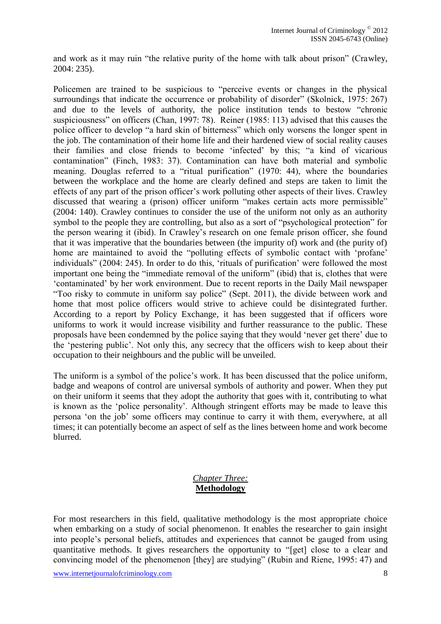and work as it may ruin "the relative purity of the home with talk about prison" (Crawley, 2004: 235).

Policemen are trained to be suspicious to "perceive events or changes in the physical surroundings that indicate the occurrence or probability of disorder" (Skolnick, 1975: 267) and due to the levels of authority, the police institution tends to bestow "chronic suspiciousness" on officers (Chan, 1997: 78). Reiner (1985: 113) advised that this causes the police officer to develop "a hard skin of bitterness" which only worsens the longer spent in the job. The contamination of their home life and their hardened view of social reality causes their families and close friends to become 'infected' by this; "a kind of vicarious contamination" (Finch, 1983: 37). Contamination can have both material and symbolic meaning. Douglas referred to a "ritual purification" (1970: 44), where the boundaries between the workplace and the home are clearly defined and steps are taken to limit the effects of any part of the prison officer's work polluting other aspects of their lives. Crawley discussed that wearing a (prison) officer uniform "makes certain acts more permissible" (2004: 140). Crawley continues to consider the use of the uniform not only as an authority symbol to the people they are controlling, but also as a sort of "psychological protection" for the person wearing it (ibid). In Crawley's research on one female prison officer, she found that it was imperative that the boundaries between (the impurity of) work and (the purity of) home are maintained to avoid the "polluting effects of symbolic contact with 'profane' individuals" (2004: 245). In order to do this, 'rituals of purification' were followed the most important one being the "immediate removal of the uniform" (ibid) that is, clothes that were 'contaminated' by her work environment. Due to recent reports in the Daily Mail newspaper "Too risky to commute in uniform say police" (Sept. 2011), the divide between work and home that most police officers would strive to achieve could be disintegrated further. According to a report by Policy Exchange, it has been suggested that if officers wore uniforms to work it would increase visibility and further reassurance to the public. These proposals have been condemned by the police saying that they would 'never get there' due to the 'pestering public'. Not only this, any secrecy that the officers wish to keep about their occupation to their neighbours and the public will be unveiled.

The uniform is a symbol of the police's work. It has been discussed that the police uniform, badge and weapons of control are universal symbols of authority and power. When they put on their uniform it seems that they adopt the authority that goes with it, contributing to what is known as the 'police personality'. Although stringent efforts may be made to leave this persona 'on the job' some officers may continue to carry it with them, everywhere, at all times; it can potentially become an aspect of self as the lines between home and work become blurred.

## *Chapter Three:*  **Methodology**

For most researchers in this field, qualitative methodology is the most appropriate choice when embarking on a study of social phenomenon. It enables the researcher to gain insight into people's personal beliefs, attitudes and experiences that cannot be gauged from using quantitative methods. It gives researchers the opportunity to "[get] close to a clear and convincing model of the phenomenon [they] are studying" (Rubin and Riene, 1995: 47) and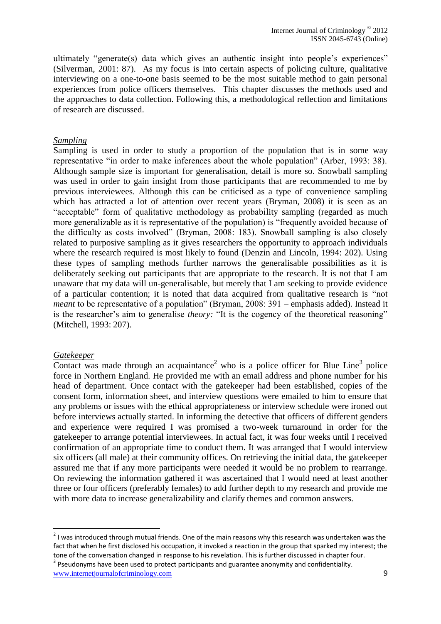ultimately "generate(s) data which gives an authentic insight into people's experiences" (Silverman, 2001: 87). As my focus is into certain aspects of policing culture, qualitative interviewing on a one-to-one basis seemed to be the most suitable method to gain personal experiences from police officers themselves. This chapter discusses the methods used and the approaches to data collection. Following this, a methodological reflection and limitations of research are discussed.

#### *Sampling*

Sampling is used in order to study a proportion of the population that is in some way representative "in order to make inferences about the whole population" (Arber, 1993: 38). Although sample size is important for generalisation, detail is more so. Snowball sampling was used in order to gain insight from those participants that are recommended to me by previous interviewees. Although this can be criticised as a type of convenience sampling which has attracted a lot of attention over recent years (Bryman, 2008) it is seen as an "acceptable" form of qualitative methodology as probability sampling (regarded as much more generalizable as it is representative of the population) is "frequently avoided because of the difficulty as costs involved" (Bryman, 2008: 183). Snowball sampling is also closely related to purposive sampling as it gives researchers the opportunity to approach individuals where the research required is most likely to found (Denzin and Lincoln, 1994: 202). Using these types of sampling methods further narrows the generalisable possibilities as it is deliberately seeking out participants that are appropriate to the research. It is not that I am unaware that my data will un-generalisable, but merely that I am seeking to provide evidence of a particular contention; it is noted that data acquired from qualitative research is "not *meant* to be representative of a population" (Bryman, 2008: 391 – emphasis added). Instead it is the researcher's aim to generalise *theory:* "It is the cogency of the theoretical reasoning" (Mitchell, 1993: 207).

#### *Gatekeeper*

Contact was made through an acquaintance<sup>2</sup> who is a police officer for Blue Line<sup>3</sup> police force in Northern England. He provided me with an email address and phone number for his head of department. Once contact with the gatekeeper had been established, copies of the consent form, information sheet, and interview questions were emailed to him to ensure that any problems or issues with the ethical appropriateness or interview schedule were ironed out before interviews actually started. In informing the detective that officers of different genders and experience were required I was promised a two-week turnaround in order for the gatekeeper to arrange potential interviewees. In actual fact, it was four weeks until I received confirmation of an appropriate time to conduct them. It was arranged that I would interview six officers (all male) at their community offices. On retrieving the initial data, the gatekeeper assured me that if any more participants were needed it would be no problem to rearrange. On reviewing the information gathered it was ascertained that I would need at least another three or four officers (preferably females) to add further depth to my research and provide me with more data to increase generalizability and clarify themes and common answers.

**The sum of the set of the set of the set of the main**<br>The sons why this research was undertaken was undertaken was undertaken was undertaken was the and a local poin fact that when he first disclosed his occupation, it invoked a reaction in the group that sparked my interest; the tone of the conversation changed in response to his revelation. This is further discussed in chapter four.

www.internetjournalofcriminology.com 9  $3$  Pseudonyms have been used to protect participants and guarantee anonymity and confidentiality.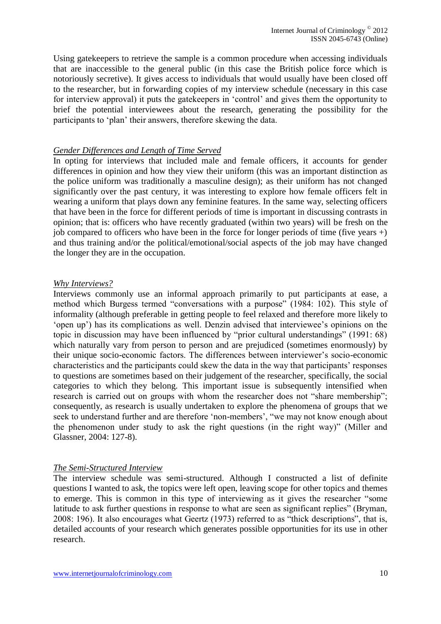Using gatekeepers to retrieve the sample is a common procedure when accessing individuals that are inaccessible to the general public (in this case the British police force which is notoriously secretive). It gives access to individuals that would usually have been closed off to the researcher, but in forwarding copies of my interview schedule (necessary in this case for interview approval) it puts the gatekeepers in 'control' and gives them the opportunity to brief the potential interviewees about the research, generating the possibility for the participants to 'plan' their answers, therefore skewing the data.

#### *Gender Differences and Length of Time Served*

In opting for interviews that included male and female officers, it accounts for gender differences in opinion and how they view their uniform (this was an important distinction as the police uniform was traditionally a masculine design); as their uniform has not changed significantly over the past century, it was interesting to explore how female officers felt in wearing a uniform that plays down any feminine features. In the same way, selecting officers that have been in the force for different periods of time is important in discussing contrasts in opinion; that is: officers who have recently graduated (within two years) will be fresh on the job compared to officers who have been in the force for longer periods of time (five years  $+$ ) and thus training and/or the political/emotional/social aspects of the job may have changed the longer they are in the occupation.

#### *Why Interviews?*

Interviews commonly use an informal approach primarily to put participants at ease, a method which Burgess termed "conversations with a purpose" (1984: 102). This style of informality (although preferable in getting people to feel relaxed and therefore more likely to 'open up') has its complications as well. Denzin advised that interviewee's opinions on the topic in discussion may have been influenced by "prior cultural understandings" (1991: 68) which naturally vary from person to person and are prejudiced (sometimes enormously) by their unique socio-economic factors. The differences between interviewer's socio-economic characteristics and the participants could skew the data in the way that participants' responses to questions are sometimes based on their judgement of the researcher, specifically, the social categories to which they belong. This important issue is subsequently intensified when research is carried out on groups with whom the researcher does not "share membership"; consequently, as research is usually undertaken to explore the phenomena of groups that we seek to understand further and are therefore 'non-members', "we may not know enough about the phenomenon under study to ask the right questions (in the right way)" (Miller and Glassner, 2004: 127-8).

#### *The Semi-Structured Interview*

The interview schedule was semi-structured. Although I constructed a list of definite questions I wanted to ask, the topics were left open, leaving scope for other topics and themes to emerge. This is common in this type of interviewing as it gives the researcher "some latitude to ask further questions in response to what are seen as significant replies" (Bryman, 2008: 196). It also encourages what Geertz (1973) referred to as "thick descriptions", that is, detailed accounts of your research which generates possible opportunities for its use in other research.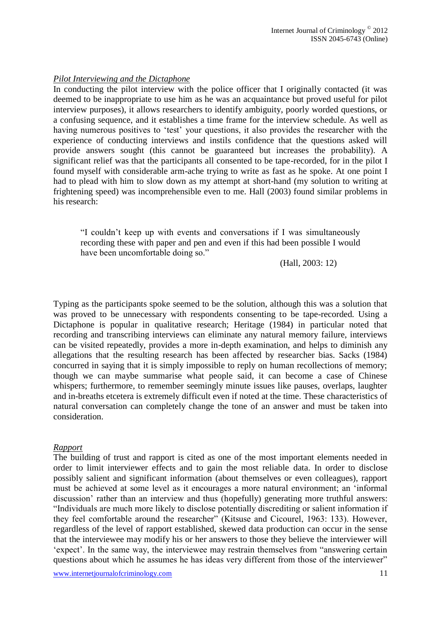## *Pilot Interviewing and the Dictaphone*

In conducting the pilot interview with the police officer that I originally contacted (it was deemed to be inappropriate to use him as he was an acquaintance but proved useful for pilot interview purposes), it allows researchers to identify ambiguity, poorly worded questions, or a confusing sequence, and it establishes a time frame for the interview schedule. As well as having numerous positives to 'test' your questions, it also provides the researcher with the experience of conducting interviews and instils confidence that the questions asked will provide answers sought (this cannot be guaranteed but increases the probability). A significant relief was that the participants all consented to be tape-recorded, for in the pilot I found myself with considerable arm-ache trying to write as fast as he spoke. At one point I had to plead with him to slow down as my attempt at short-hand (my solution to writing at frightening speed) was incomprehensible even to me. Hall (2003) found similar problems in his research:

"I couldn't keep up with events and conversations if I was simultaneously recording these with paper and pen and even if this had been possible I would have been uncomfortable doing so."

(Hall, 2003: 12)

Typing as the participants spoke seemed to be the solution, although this was a solution that was proved to be unnecessary with respondents consenting to be tape-recorded. Using a Dictaphone is popular in qualitative research; Heritage (1984) in particular noted that recording and transcribing interviews can eliminate any natural memory failure, interviews can be visited repeatedly, provides a more in-depth examination, and helps to diminish any allegations that the resulting research has been affected by researcher bias. Sacks (1984) concurred in saying that it is simply impossible to reply on human recollections of memory; though we can maybe summarise what people said, it can become a case of Chinese whispers; furthermore, to remember seemingly minute issues like pauses, overlaps, laughter and in-breaths etcetera is extremely difficult even if noted at the time. These characteristics of natural conversation can completely change the tone of an answer and must be taken into consideration.

#### *Rapport*

The building of trust and rapport is cited as one of the most important elements needed in order to limit interviewer effects and to gain the most reliable data. In order to disclose possibly salient and significant information (about themselves or even colleagues), rapport must be achieved at some level as it encourages a more natural environment; an 'informal discussion' rather than an interview and thus (hopefully) generating more truthful answers: "Individuals are much more likely to disclose potentially discrediting or salient information if they feel comfortable around the researcher" (Kitsuse and Cicourel, 1963: 133). However, regardless of the level of rapport established, skewed data production can occur in the sense that the interviewee may modify his or her answers to those they believe the interviewer will 'expect'. In the same way, the interviewee may restrain themselves from "answering certain questions about which he assumes he has ideas very different from those of the interviewer"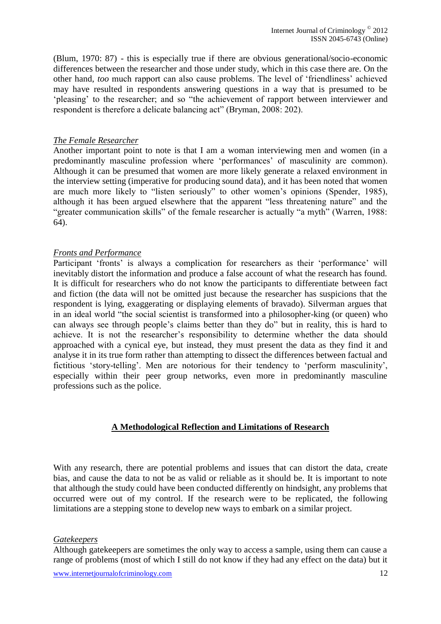(Blum, 1970: 87) - this is especially true if there are obvious generational/socio-economic differences between the researcher and those under study, which in this case there are. On the other hand, *too* much rapport can also cause problems. The level of 'friendliness' achieved may have resulted in respondents answering questions in a way that is presumed to be 'pleasing' to the researcher; and so "the achievement of rapport between interviewer and respondent is therefore a delicate balancing act" (Bryman, 2008: 202).

#### *The Female Researcher*

Another important point to note is that I am a woman interviewing men and women (in a predominantly masculine profession where 'performances' of masculinity are common). Although it can be presumed that women are more likely generate a relaxed environment in the interview setting (imperative for producing sound data), and it has been noted that women are much more likely to "listen seriously" to other women's opinions (Spender, 1985), although it has been argued elsewhere that the apparent "less threatening nature" and the "greater communication skills" of the female researcher is actually "a myth" (Warren, 1988: 64).

#### *Fronts and Performance*

Participant 'fronts' is always a complication for researchers as their 'performance' will inevitably distort the information and produce a false account of what the research has found. It is difficult for researchers who do not know the participants to differentiate between fact and fiction (the data will not be omitted just because the researcher has suspicions that the respondent is lying, exaggerating or displaying elements of bravado). Silverman argues that in an ideal world "the social scientist is transformed into a philosopher-king (or queen) who can always see through people's claims better than they do" but in reality, this is hard to achieve. It is not the researcher's responsibility to determine whether the data should approached with a cynical eye, but instead, they must present the data as they find it and analyse it in its true form rather than attempting to dissect the differences between factual and fictitious 'story-telling'. Men are notorious for their tendency to 'perform masculinity', especially within their peer group networks, even more in predominantly masculine professions such as the police.

#### **A Methodological Reflection and Limitations of Research**

With any research, there are potential problems and issues that can distort the data, create bias, and cause the data to not be as valid or reliable as it should be. It is important to note that although the study could have been conducted differently on hindsight, any problems that occurred were out of my control. If the research were to be replicated, the following limitations are a stepping stone to develop new ways to embark on a similar project.

#### *Gatekeepers*

Although gatekeepers are sometimes the only way to access a sample, using them can cause a range of problems (most of which I still do not know if they had any effect on the data) but it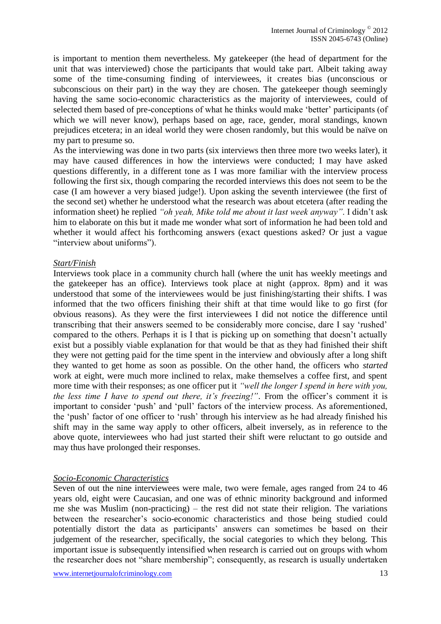is important to mention them nevertheless. My gatekeeper (the head of department for the unit that was interviewed) chose the participants that would take part. Albeit taking away some of the time-consuming finding of interviewees, it creates bias (unconscious or subconscious on their part) in the way they are chosen. The gatekeeper though seemingly having the same socio-economic characteristics as the majority of interviewees, could of selected them based of pre-conceptions of what he thinks would make 'better' participants (of which we will never know), perhaps based on age, race, gender, moral standings, known prejudices etcetera; in an ideal world they were chosen randomly, but this would be naïve on my part to presume so.

As the interviewing was done in two parts (six interviews then three more two weeks later), it may have caused differences in how the interviews were conducted; I may have asked questions differently, in a different tone as I was more familiar with the interview process following the first six, though comparing the recorded interviews this does not seem to be the case (I am however a very biased judge!). Upon asking the seventh interviewee (the first of the second set) whether he understood what the research was about etcetera (after reading the information sheet) he replied *"oh yeah, Mike told me about it last week anyway"*. I didn't ask him to elaborate on this but it made me wonder what sort of information he had been told and whether it would affect his forthcoming answers (exact questions asked? Or just a vague "interview about uniforms").

#### *Start/Finish*

Interviews took place in a community church hall (where the unit has weekly meetings and the gatekeeper has an office). Interviews took place at night (approx. 8pm) and it was understood that some of the interviewees would be just finishing/starting their shifts. I was informed that the two officers finishing their shift at that time would like to go first (for obvious reasons). As they were the first interviewees I did not notice the difference until transcribing that their answers seemed to be considerably more concise, dare I say 'rushed' compared to the others. Perhaps it is I that is picking up on something that doesn't actually exist but a possibly viable explanation for that would be that as they had finished their shift they were not getting paid for the time spent in the interview and obviously after a long shift they wanted to get home as soon as possible. On the other hand, the officers who *started* work at eight, were much more inclined to relax, make themselves a coffee first, and spent more time with their responses; as one officer put it *"well the longer I spend in here with you, the less time I have to spend out there, it's freezing!"*. From the officer's comment it is important to consider 'push' and 'pull' factors of the interview process. As aforementioned, the 'push' factor of one officer to 'rush' through his interview as he had already finished his shift may in the same way apply to other officers, albeit inversely, as in reference to the above quote, interviewees who had just started their shift were reluctant to go outside and may thus have prolonged their responses.

#### *Socio-Economic Characteristics*

Seven of out the nine interviewees were male, two were female, ages ranged from 24 to 46 years old, eight were Caucasian, and one was of ethnic minority background and informed me she was Muslim (non-practicing) – the rest did not state their religion. The variations between the researcher's socio-economic characteristics and those being studied could potentially distort the data as participants' answers can sometimes be based on their judgement of the researcher, specifically, the social categories to which they belong. This important issue is subsequently intensified when research is carried out on groups with whom the researcher does not "share membership"; consequently, as research is usually undertaken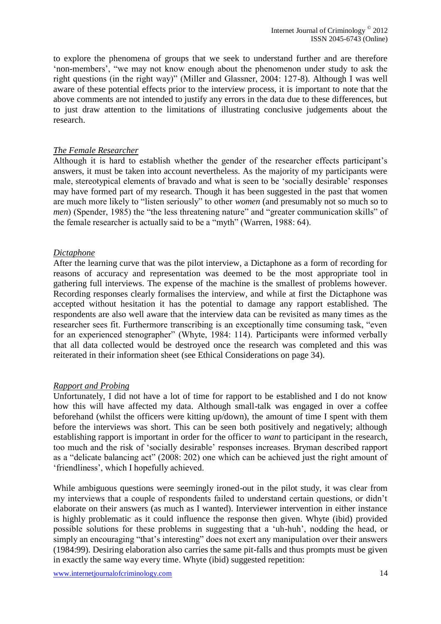to explore the phenomena of groups that we seek to understand further and are therefore 'non-members', "we may not know enough about the phenomenon under study to ask the right questions (in the right way)" (Miller and Glassner, 2004: 127-8). Although I was well aware of these potential effects prior to the interview process, it is important to note that the above comments are not intended to justify any errors in the data due to these differences, but to just draw attention to the limitations of illustrating conclusive judgements about the research.

#### *The Female Researcher*

Although it is hard to establish whether the gender of the researcher effects participant's answers, it must be taken into account nevertheless. As the majority of my participants were male, stereotypical elements of bravado and what is seen to be 'socially desirable' responses may have formed part of my research. Though it has been suggested in the past that women are much more likely to "listen seriously" to other *women* (and presumably not so much so to *men*) (Spender, 1985) the "the less threatening nature" and "greater communication skills" of the female researcher is actually said to be a "myth" (Warren, 1988: 64).

#### *Dictaphone*

After the learning curve that was the pilot interview, a Dictaphone as a form of recording for reasons of accuracy and representation was deemed to be the most appropriate tool in gathering full interviews. The expense of the machine is the smallest of problems however. Recording responses clearly formalises the interview, and while at first the Dictaphone was accepted without hesitation it has the potential to damage any rapport established. The respondents are also well aware that the interview data can be revisited as many times as the researcher sees fit. Furthermore transcribing is an exceptionally time consuming task, "even for an experienced stenographer" (Whyte, 1984: 114). Participants were informed verbally that all data collected would be destroyed once the research was completed and this was reiterated in their information sheet (see Ethical Considerations on page 34).

#### *Rapport and Probing*

Unfortunately, I did not have a lot of time for rapport to be established and I do not know how this will have affected my data. Although small-talk was engaged in over a coffee beforehand (whilst the officers were kitting up/down), the amount of time I spent with them before the interviews was short. This can be seen both positively and negatively; although establishing rapport is important in order for the officer to *want* to participant in the research, too much and the risk of 'socially desirable' responses increases. Bryman described rapport as a "delicate balancing act" (2008: 202) one which can be achieved just the right amount of 'friendliness', which I hopefully achieved.

While ambiguous questions were seemingly ironed-out in the pilot study, it was clear from my interviews that a couple of respondents failed to understand certain questions, or didn't elaborate on their answers (as much as I wanted). Interviewer intervention in either instance is highly problematic as it could influence the response then given. Whyte (ibid) provided possible solutions for these problems in suggesting that a 'uh-huh', nodding the head, or simply an encouraging "that's interesting" does not exert any manipulation over their answers (1984:99). Desiring elaboration also carries the same pit-falls and thus prompts must be given in exactly the same way every time. Whyte (ibid) suggested repetition: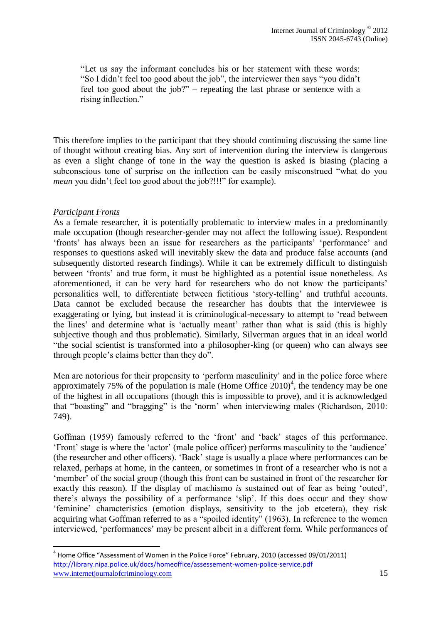"Let us say the informant concludes his or her statement with these words: "So I didn't feel too good about the job", the interviewer then says "you didn't feel too good about the job?" – repeating the last phrase or sentence with a rising inflection."

This therefore implies to the participant that they should continuing discussing the same line of thought without creating bias. Any sort of intervention during the interview is dangerous as even a slight change of tone in the way the question is asked is biasing (placing a subconscious tone of surprise on the inflection can be easily misconstrued "what do you *mean* you didn't feel too good about the job?!!!" for example).

## *Participant Fronts*

1

As a female researcher, it is potentially problematic to interview males in a predominantly male occupation (though researcher-gender may not affect the following issue). Respondent 'fronts' has always been an issue for researchers as the participants' 'performance' and responses to questions asked will inevitably skew the data and produce false accounts (and subsequently distorted research findings). While it can be extremely difficult to distinguish between 'fronts' and true form, it must be highlighted as a potential issue nonetheless. As aforementioned, it can be very hard for researchers who do not know the participants' personalities well, to differentiate between fictitious 'story-telling' and truthful accounts. Data cannot be excluded because the researcher has doubts that the interviewee is exaggerating or lying, but instead it is criminological-necessary to attempt to 'read between the lines' and determine what is 'actually meant' rather than what is said (this is highly subjective though and thus problematic). Similarly, Silverman argues that in an ideal world "the social scientist is transformed into a philosopher-king (or queen) who can always see through people's claims better than they do".

Men are notorious for their propensity to 'perform masculinity' and in the police force where approximately 75% of the population is male (Home Office  $2010<sup>4</sup>$ , the tendency may be one of the highest in all occupations (though this is impossible to prove), and it is acknowledged that "boasting" and "bragging" is the 'norm' when interviewing males (Richardson, 2010: 749).

Goffman (1959) famously referred to the 'front' and 'back' stages of this performance. 'Front' stage is where the 'actor' (male police officer) performs masculinity to the 'audience' (the researcher and other officers). 'Back' stage is usually a place where performances can be relaxed, perhaps at home, in the canteen, or sometimes in front of a researcher who is not a 'member' of the social group (though this front can be sustained in front of the researcher for exactly this reason). If the display of machismo *is* sustained out of fear as being 'outed', there's always the possibility of a performance 'slip'. If this does occur and they show 'feminine' characteristics (emotion displays, sensitivity to the job etcetera), they risk acquiring what Goffman referred to as a "spoiled identity" (1963). In reference to the women interviewed, 'performances' may be present albeit in a different form. While performances of

www.internetiournalofcriminology.com 15 <sup>4</sup> Home Office "Assessment of Women in the Police Force" February, 2010 (accessed 09/01/2011) <http://library.nipa.police.uk/docs/homeoffice/assessement-women-police-service.pdf>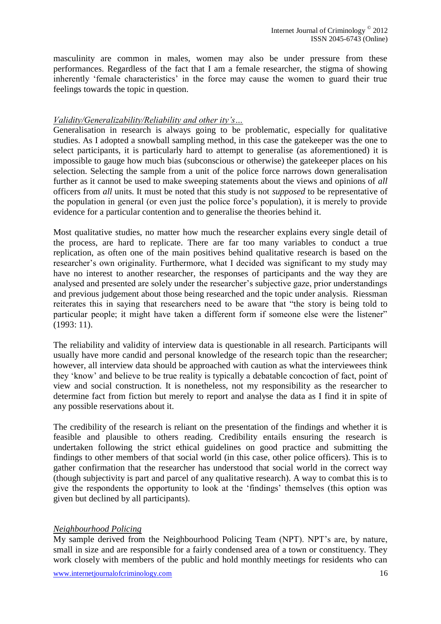masculinity are common in males, women may also be under pressure from these performances. Regardless of the fact that I am a female researcher, the stigma of showing inherently 'female characteristics' in the force may cause the women to guard their true feelings towards the topic in question.

#### *Validity/Generalizability/Reliability and other ity's…*

Generalisation in research is always going to be problematic, especially for qualitative studies. As I adopted a snowball sampling method, in this case the gatekeeper was the one to select participants, it is particularly hard to attempt to generalise (as aforementioned) it is impossible to gauge how much bias (subconscious or otherwise) the gatekeeper places on his selection. Selecting the sample from a unit of the police force narrows down generalisation further as it cannot be used to make sweeping statements about the views and opinions of *all* officers from *all* units. It must be noted that this study is not *supposed* to be representative of the population in general (or even just the police force's population), it is merely to provide evidence for a particular contention and to generalise the theories behind it.

Most qualitative studies, no matter how much the researcher explains every single detail of the process, are hard to replicate. There are far too many variables to conduct a true replication, as often one of the main positives behind qualitative research is based on the researcher's own originality. Furthermore, what I decided was significant to my study may have no interest to another researcher, the responses of participants and the way they are analysed and presented are solely under the researcher's subjective gaze, prior understandings and previous judgement about those being researched and the topic under analysis. Riessman reiterates this in saying that researchers need to be aware that "the story is being told to particular people; it might have taken a different form if someone else were the listener" (1993: 11).

The reliability and validity of interview data is questionable in all research. Participants will usually have more candid and personal knowledge of the research topic than the researcher; however, all interview data should be approached with caution as what the interviewees think they 'know' and believe to be true reality is typically a debatable concoction of fact, point of view and social construction. It is nonetheless, not my responsibility as the researcher to determine fact from fiction but merely to report and analyse the data as I find it in spite of any possible reservations about it.

The credibility of the research is reliant on the presentation of the findings and whether it is feasible and plausible to others reading. Credibility entails ensuring the research is undertaken following the strict ethical guidelines on good practice and submitting the findings to other members of that social world (in this case, other police officers). This is to gather confirmation that the researcher has understood that social world in the correct way (though subjectivity is part and parcel of any qualitative research). A way to combat this is to give the respondents the opportunity to look at the 'findings' themselves (this option was given but declined by all participants).

#### *Neighbourhood Policing*

My sample derived from the Neighbourhood Policing Team (NPT). NPT's are, by nature, small in size and are responsible for a fairly condensed area of a town or constituency. They work closely with members of the public and hold monthly meetings for residents who can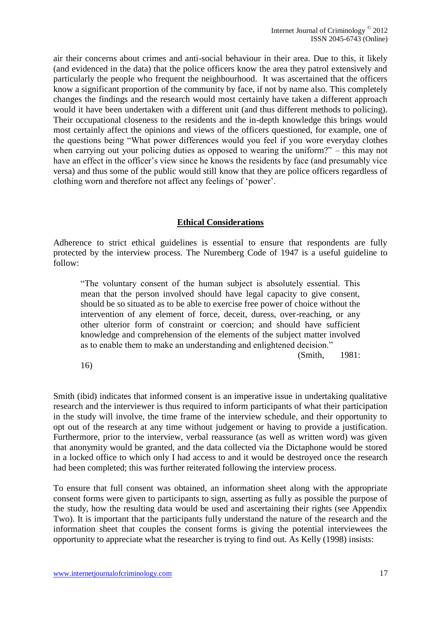air their concerns about crimes and anti-social behaviour in their area. Due to this, it likely (and evidenced in the data) that the police officers know the area they patrol extensively and particularly the people who frequent the neighbourhood. It was ascertained that the officers know a significant proportion of the community by face, if not by name also. This completely changes the findings and the research would most certainly have taken a different approach would it have been undertaken with a different unit (and thus different methods to policing). Their occupational closeness to the residents and the in-depth knowledge this brings would most certainly affect the opinions and views of the officers questioned, for example, one of the questions being "What power differences would you feel if you wore everyday clothes when carrying out your policing duties as opposed to wearing the uniform?" – this may not have an effect in the officer's view since he knows the residents by face (and presumably vice versa) and thus some of the public would still know that they are police officers regardless of clothing worn and therefore not affect any feelings of 'power'.

#### **Ethical Considerations**

Adherence to strict ethical guidelines is essential to ensure that respondents are fully protected by the interview process. The Nuremberg Code of 1947 is a useful guideline to follow:

"The voluntary consent of the human subject is absolutely essential. This mean that the person involved should have legal capacity to give consent, should be so situated as to be able to exercise free power of choice without the intervention of any element of force, deceit, duress, over-reaching, or any other ulterior form of constraint or coercion; and should have sufficient knowledge and comprehension of the elements of the subject matter involved as to enable them to make an understanding and enlightened decision."

(Smith, 1981:

16)

Smith (ibid) indicates that informed consent is an imperative issue in undertaking qualitative research and the interviewer is thus required to inform participants of what their participation in the study will involve, the time frame of the interview schedule, and their opportunity to opt out of the research at any time without judgement or having to provide a justification. Furthermore, prior to the interview, verbal reassurance (as well as written word) was given that anonymity would be granted, and the data collected via the Dictaphone would be stored in a locked office to which only I had access to and it would be destroyed once the research had been completed; this was further reiterated following the interview process.

To ensure that full consent was obtained, an information sheet along with the appropriate consent forms were given to participants to sign, asserting as fully as possible the purpose of the study, how the resulting data would be used and ascertaining their rights (see Appendix Two). It is important that the participants fully understand the nature of the research and the information sheet that couples the consent forms is giving the potential interviewees the opportunity to appreciate what the researcher is trying to find out. As Kelly (1998) insists: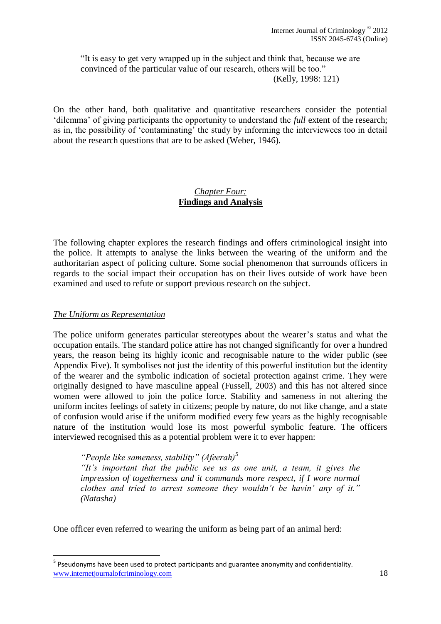"It is easy to get very wrapped up in the subject and think that, because we are convinced of the particular value of our research, others will be too." (Kelly, 1998: 121)

On the other hand, both qualitative and quantitative researchers consider the potential 'dilemma' of giving participants the opportunity to understand the *full* extent of the research; as in, the possibility of 'contaminating' the study by informing the interviewees too in detail about the research questions that are to be asked (Weber, 1946).

## *Chapter Four:* **Findings and Analysis**

The following chapter explores the research findings and offers criminological insight into the police. It attempts to analyse the links between the wearing of the uniform and the authoritarian aspect of policing culture. Some social phenomenon that surrounds officers in regards to the social impact their occupation has on their lives outside of work have been examined and used to refute or support previous research on the subject.

## *The Uniform as Representation*

.

The police uniform generates particular stereotypes about the wearer's status and what the occupation entails. The standard police attire has not changed significantly for over a hundred years, the reason being its highly iconic and recognisable nature to the wider public (see Appendix Five). It symbolises not just the identity of this powerful institution but the identity of the wearer and the symbolic indication of societal protection against crime. They were originally designed to have masculine appeal (Fussell, 2003) and this has not altered since women were allowed to join the police force. Stability and sameness in not altering the uniform incites feelings of safety in citizens; people by nature, do not like change, and a state of confusion would arise if the uniform modified every few years as the highly recognisable nature of the institution would lose its most powerful symbolic feature. The officers interviewed recognised this as a potential problem were it to ever happen:

*"People like sameness, stability" (Afeerah)<sup>5</sup>*

*"It's important that the public see us as one unit, a team, it gives the impression of togetherness and it commands more respect, if I wore normal clothes and tried to arrest someone they wouldn't be havin' any of it." (Natasha)*

One officer even referred to wearing the uniform as being part of an animal herd:

www.internetiournalofcriminology.com 18 <sup>5</sup> Pseudonyms have been used to protect participants and guarantee anonymity and confidentiality.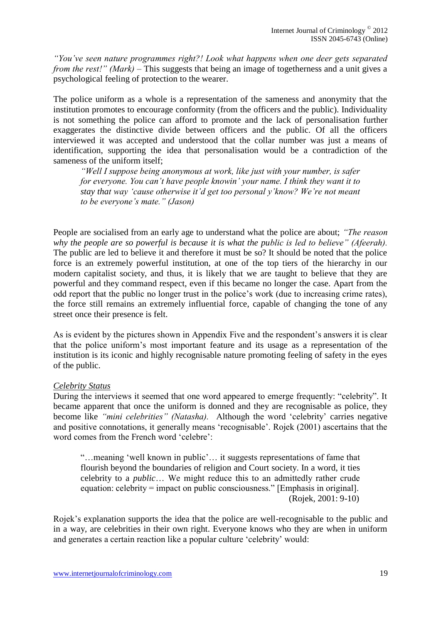*"You've seen nature programmes right?! Look what happens when one deer gets separated from the rest!" (Mark)* – This suggests that being an image of togetherness and a unit gives a psychological feeling of protection to the wearer.

The police uniform as a whole is a representation of the sameness and anonymity that the institution promotes to encourage conformity (from the officers and the public). Individuality is not something the police can afford to promote and the lack of personalisation further exaggerates the distinctive divide between officers and the public. Of all the officers interviewed it was accepted and understood that the collar number was just a means of identification, supporting the idea that personalisation would be a contradiction of the sameness of the uniform itself;

*"Well I suppose being anonymous at work, like just with your number, is safer for everyone. You can't have people knowin' your name. I think they want it to stay that way 'cause otherwise it'd get too personal y'know? We're not meant to be everyone's mate." (Jason)* 

People are socialised from an early age to understand what the police are about; *"The reason why the people are so powerful is because it is what the public is led to believe" (Afeerah).*  The public are led to believe it and therefore it must be so? It should be noted that the police force is an extremely powerful institution, at one of the top tiers of the hierarchy in our modern capitalist society, and thus, it is likely that we are taught to believe that they are powerful and they command respect, even if this became no longer the case. Apart from the odd report that the public no longer trust in the police's work (due to increasing crime rates), the force still remains an extremely influential force, capable of changing the tone of any street once their presence is felt.

As is evident by the pictures shown in Appendix Five and the respondent's answers it is clear that the police uniform's most important feature and its usage as a representation of the institution is its iconic and highly recognisable nature promoting feeling of safety in the eyes of the public.

#### *Celebrity Status*

During the interviews it seemed that one word appeared to emerge frequently: "celebrity". It became apparent that once the uniform is donned and they are recognisable as police, they become like *"mini celebrities" (Natasha).* Although the word 'celebrity' carries negative and positive connotations, it generally means 'recognisable'. Rojek (2001) ascertains that the word comes from the French word 'celebre':

"…meaning 'well known in public'… it suggests representations of fame that flourish beyond the boundaries of religion and Court society. In a word, it ties celebrity to a *public*… We might reduce this to an admittedly rather crude equation: celebrity = impact on public consciousness." [Emphasis in original]. (Rojek, 2001: 9-10)

Rojek's explanation supports the idea that the police are well-recognisable to the public and in a way, are celebrities in their own right. Everyone knows who they are when in uniform and generates a certain reaction like a popular culture 'celebrity' would: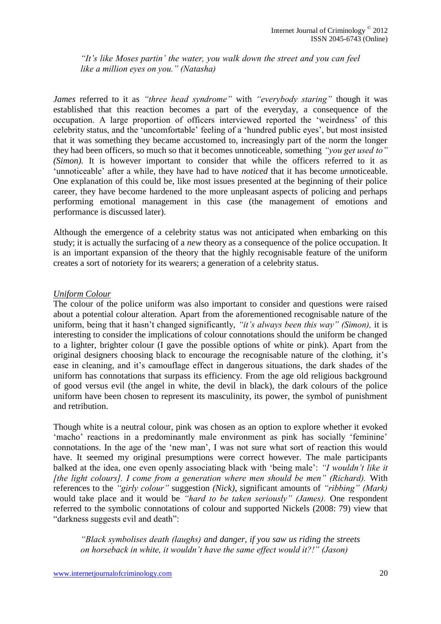*"It's like Moses partin' the water, you walk down the street and you can feel like a million eyes on you." (Natasha)* 

*James* referred to it as *"three head syndrome"* with *"everybody staring"* though it was established that this reaction becomes a part of the everyday, a consequence of the occupation. A large proportion of officers interviewed reported the 'weirdness' of this celebrity status, and the 'uncomfortable' feeling of a 'hundred public eyes', but most insisted that it was something they became accustomed to, increasingly part of the norm the longer they had been officers, so much so that it becomes unnoticeable, something *"you get used to" (Simon).* It is however important to consider that while the officers referred to it as 'unnoticeable' after a while, they have had to have *noticed* that it has become *un*noticeable. One explanation of this could be, like most issues presented at the beginning of their police career, they have become hardened to the more unpleasant aspects of policing and perhaps performing emotional management in this case (the management of emotions and performance is discussed later).

Although the emergence of a celebrity status was not anticipated when embarking on this study; it is actually the surfacing of a *new* theory as a consequence of the police occupation. It is an important expansion of the theory that the highly recognisable feature of the uniform creates a sort of notoriety for its wearers; a generation of a celebrity status.

#### *Uniform Colour*

The colour of the police uniform was also important to consider and questions were raised about a potential colour alteration. Apart from the aforementioned recognisable nature of the uniform, being that it hasn't changed significantly, *"it's always been this way" (Simon),* it is interesting to consider the implications of colour connotations should the uniform be changed to a lighter, brighter colour (I gave the possible options of white or pink). Apart from the original designers choosing black to encourage the recognisable nature of the clothing, it's ease in cleaning, and it's camouflage effect in dangerous situations, the dark shades of the uniform has connotations that surpass its efficiency. From the age old religious background of good versus evil (the angel in white, the devil in black), the dark colours of the police uniform have been chosen to represent its masculinity, its power, the symbol of punishment and retribution.

Though white is a neutral colour, pink was chosen as an option to explore whether it evoked 'macho' reactions in a predominantly male environment as pink has socially 'feminine' connotations. In the age of the 'new man', I was not sure what sort of reaction this would have. It seemed my original presumptions were correct however. The male participants balked at the idea, one even openly associating black with 'being male': *"I wouldn't like it [the light colours]. I come from a generation where men should be men" (Richard).* With references to the *"girly colour"* suggestion *(Nick)*, significant amounts of *"ribbing" (Mark)* would take place and it would be *"hard to be taken seriously" (James).* One respondent referred to the symbolic connotations of colour and supported Nickels (2008: 79) view that "darkness suggests evil and death":

*"Black symbolises death (laughs) and danger, if you saw us riding the streets on horseback in white, it wouldn't have the same effect would it?!" (Jason)*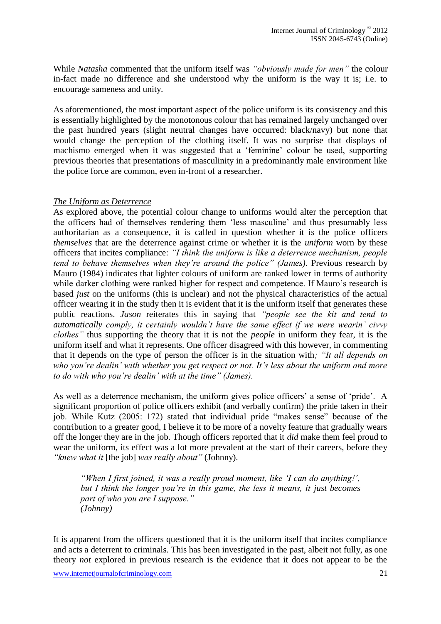While *Natasha* commented that the uniform itself was *"obviously made for men"* the colour in-fact made no difference and she understood why the uniform is the way it is; i.e. to encourage sameness and unity.

As aforementioned, the most important aspect of the police uniform is its consistency and this is essentially highlighted by the monotonous colour that has remained largely unchanged over the past hundred years (slight neutral changes have occurred: black/navy) but none that would change the perception of the clothing itself. It was no surprise that displays of machismo emerged when it was suggested that a 'feminine' colour be used, supporting previous theories that presentations of masculinity in a predominantly male environment like the police force are common, even in-front of a researcher.

#### *The Uniform as Deterrence*

As explored above, the potential colour change to uniforms would alter the perception that the officers had of themselves rendering them 'less masculine' and thus presumably less authoritarian as a consequence, it is called in question whether it is the police officers *themselves* that are the deterrence against crime or whether it is the *uniform* worn by these officers that incites compliance: *"I think the uniform is like a deterrence mechanism, people tend to behave themselves when they're around the police" (James).* Previous research by Mauro (1984) indicates that lighter colours of uniform are ranked lower in terms of authority while darker clothing were ranked higher for respect and competence. If Mauro's research is based *just* on the uniforms (this is unclear) and not the physical characteristics of the actual officer wearing it in the study then it is evident that it is the uniform itself that generates these public reactions. *Jason* reiterates this in saying that *"people see the kit and tend to automatically comply, it certainly wouldn't have the same effect if we were wearin' civvy clothes"* thus supporting the theory that it is not the *people* in uniform they fear, it is the uniform itself and what it represents. One officer disagreed with this however, in commenting that it depends on the type of person the officer is in the situation with*; "It all depends on who you're dealin' with whether you get respect or not. It's less about the uniform and more to do with who you're dealin' with at the time" (James).* 

As well as a deterrence mechanism, the uniform gives police officers' a sense of 'pride'. A significant proportion of police officers exhibit (and verbally confirm) the pride taken in their job. While Kutz (2005: 172) stated that individual pride "makes sense" because of the contribution to a greater good, I believe it to be more of a novelty feature that gradually wears off the longer they are in the job. Though officers reported that it *did* make them feel proud to wear the uniform, its effect was a lot more prevalent at the start of their careers, before they *"knew what it* [the job] *was really about"* (Johnny).

*"When I first joined, it was a really proud moment, like 'I can do anything!', but I think the longer you're in this game, the less it means, it just becomes part of who you are I suppose." (Johnny)*

It is apparent from the officers questioned that it is the uniform itself that incites compliance and acts a deterrent to criminals. This has been investigated in the past, albeit not fully, as one theory *not* explored in previous research is the evidence that it does not appear to be the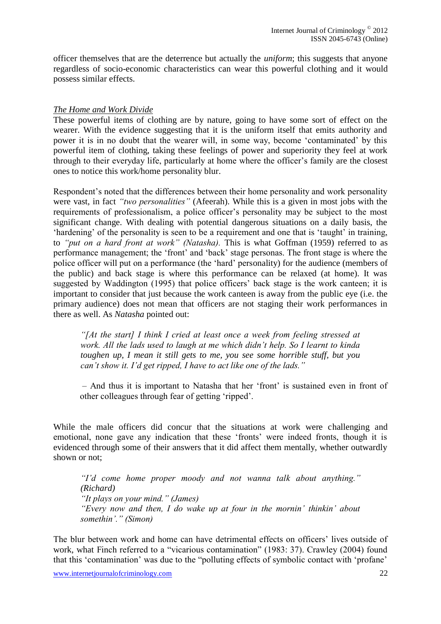officer themselves that are the deterrence but actually the *uniform*; this suggests that anyone regardless of socio-economic characteristics can wear this powerful clothing and it would possess similar effects.

## *The Home and Work Divide*

These powerful items of clothing are by nature, going to have some sort of effect on the wearer. With the evidence suggesting that it is the uniform itself that emits authority and power it is in no doubt that the wearer will, in some way, become 'contaminated' by this powerful item of clothing, taking these feelings of power and superiority they feel at work through to their everyday life, particularly at home where the officer's family are the closest ones to notice this work/home personality blur.

Respondent's noted that the differences between their home personality and work personality were vast, in fact *"two personalities"* (Afeerah). While this is a given in most jobs with the requirements of professionalism, a police officer's personality may be subject to the most significant change. With dealing with potential dangerous situations on a daily basis, the 'hardening' of the personality is seen to be a requirement and one that is 'taught' in training, to *"put on a hard front at work" (Natasha).* This is what Goffman (1959) referred to as performance management; the 'front' and 'back' stage personas. The front stage is where the police officer will put on a performance (the 'hard' personality) for the audience (members of the public) and back stage is where this performance can be relaxed (at home). It was suggested by Waddington (1995) that police officers' back stage is the work canteen; it is important to consider that just because the work canteen is away from the public eye (i.e. the primary audience) does not mean that officers are not staging their work performances in there as well. As *Natasha* pointed out:

*"[At the start] I think I cried at least once a week from feeling stressed at work. All the lads used to laugh at me which didn't help. So I learnt to kinda toughen up, I mean it still gets to me, you see some horrible stuff, but you can't show it. I'd get ripped, I have to act like one of the lads."*

– And thus it is important to Natasha that her 'front' is sustained even in front of other colleagues through fear of getting 'ripped'.

While the male officers did concur that the situations at work were challenging and emotional, none gave any indication that these 'fronts' were indeed fronts, though it is evidenced through some of their answers that it did affect them mentally, whether outwardly shown or not;

*"I'd come home proper moody and not wanna talk about anything." (Richard) "It plays on your mind." (James) "Every now and then, I do wake up at four in the mornin' thinkin' about somethin'." (Simon)*

The blur between work and home can have detrimental effects on officers' lives outside of work, what Finch referred to a "vicarious contamination" (1983: 37). Crawley (2004) found that this 'contamination' was due to the "polluting effects of symbolic contact with 'profane'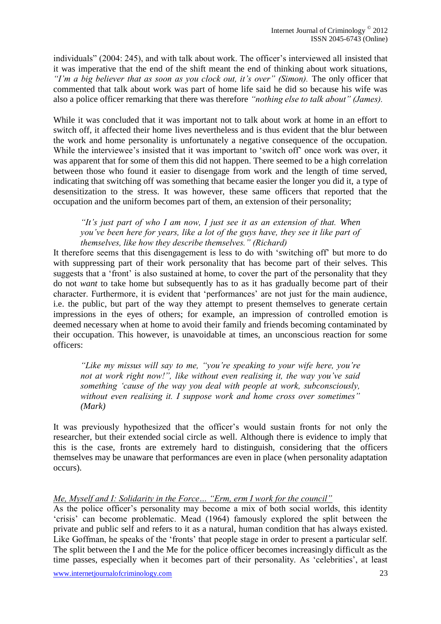individuals" (2004: 245), and with talk about work. The officer's interviewed all insisted that it was imperative that the end of the shift meant the end of thinking about work situations, "I'm a big believer that as soon as you clock out, it's over" (Simon). The only officer that commented that talk about work was part of home life said he did so because his wife was also a police officer remarking that there was therefore *"nothing else to talk about" (James).*

While it was concluded that it was important not to talk about work at home in an effort to switch off, it affected their home lives nevertheless and is thus evident that the blur between the work and home personality is unfortunately a negative consequence of the occupation. While the interviewee's insisted that it was important to 'switch off' once work was over, it was apparent that for some of them this did not happen. There seemed to be a high correlation between those who found it easier to disengage from work and the length of time served, indicating that switching off was something that became easier the longer you did it, a type of desensitization to the stress. It was however, these same officers that reported that the occupation and the uniform becomes part of them, an extension of their personality;

*"It's just part of who I am now, I just see it as an extension of that. When you've been here for years, like a lot of the guys have, they see it like part of themselves, like how they describe themselves." (Richard)*

It therefore seems that this disengagement is less to do with 'switching off' but more to do with suppressing part of their work personality that has become part of their selves. This suggests that a 'front' is also sustained at home, to cover the part of the personality that they do not *want* to take home but subsequently has to as it has gradually become part of their character. Furthermore, it is evident that 'performances' are not just for the main audience, i.e. the public, but part of the way they attempt to present themselves to generate certain impressions in the eyes of others; for example, an impression of controlled emotion is deemed necessary when at home to avoid their family and friends becoming contaminated by their occupation. This however, is unavoidable at times, an unconscious reaction for some officers:

*"Like my missus will say to me, "you're speaking to your wife here, you're not at work right now!", like without even realising it, the way you've said something 'cause of the way you deal with people at work, subconsciously, without even realising it. I suppose work and home cross over sometimes" (Mark)*

It was previously hypothesized that the officer's would sustain fronts for not only the researcher, but their extended social circle as well. Although there is evidence to imply that this is the case, fronts are extremely hard to distinguish, considering that the officers themselves may be unaware that performances are even in place (when personality adaptation occurs).

## *Me, Myself and I: Solidarity in the Force… "Erm, erm I work for the council"*

As the police officer's personality may become a mix of both social worlds, this identity 'crisis' can become problematic. Mead (1964) famously explored the split between the private and public self and refers to it as a natural, human condition that has always existed. Like Goffman, he speaks of the 'fronts' that people stage in order to present a particular self. The split between the I and the Me for the police officer becomes increasingly difficult as the time passes, especially when it becomes part of their personality. As 'celebrities', at least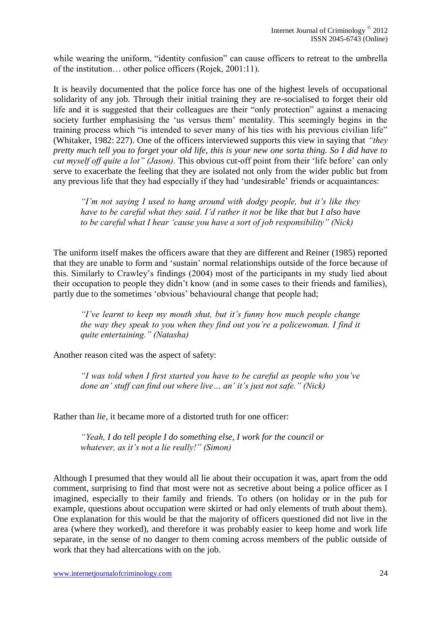while wearing the uniform, "identity confusion" can cause officers to retreat to the umbrella of the institution… other police officers (Rojek, 2001:11).

It is heavily documented that the police force has one of the highest levels of occupational solidarity of any job. Through their initial training they are re-socialised to forget their old life and it is suggested that their colleagues are their "only protection" against a menacing society further emphasising the 'us versus them' mentality. This seemingly begins in the training process which "is intended to sever many of his ties with his previous civilian life" (Whitaker, 1982: 227). One of the officers interviewed supports this view in saying that *"they pretty much tell you to forget your old life, this is your new one sorta thing. So I did have to cut myself off quite a lot" (Jason).* This obvious cut-off point from their 'life before' can only serve to exacerbate the feeling that they are isolated not only from the wider public but from any previous life that they had especially if they had 'undesirable' friends or acquaintances:

*"I'm not saying I used to hang around with dodgy people, but it's like they have to be careful what they said. I'd rather it not be like that but I also have to be careful what I hear 'cause you have a sort of job responsibility" (Nick)*

The uniform itself makes the officers aware that they are different and Reiner (1985) reported that they are unable to form and 'sustain' normal relationships outside of the force because of this. Similarly to Crawley's findings (2004) most of the participants in my study lied about their occupation to people they didn't know (and in some cases to their friends and families), partly due to the sometimes 'obvious' behavioural change that people had;

*"I've learnt to keep my mouth shut, but it's funny how much people change the way they speak to you when they find out you're a policewoman. I find it quite entertaining." (Natasha)*

Another reason cited was the aspect of safety:

*"I was told when I first started you have to be careful as people who you've done an' stuff can find out where live… an' it's just not safe." (Nick)*

Rather than *lie,* it became more of a distorted truth for one officer:

*"Yeah, I do tell people I do something else, I work for the council or whatever, as it's not a lie really!" (Simon)*

Although I presumed that they would all lie about their occupation it was, apart from the odd comment, surprising to find that most were not as secretive about being a police officer as I imagined, especially to their family and friends. To others (on holiday or in the pub for example, questions about occupation were skirted or had only elements of truth about them). One explanation for this would be that the majority of officers questioned did not live in the area (where they worked), and therefore it was probably easier to keep home and work life separate, in the sense of no danger to them coming across members of the public outside of work that they had altercations with on the job.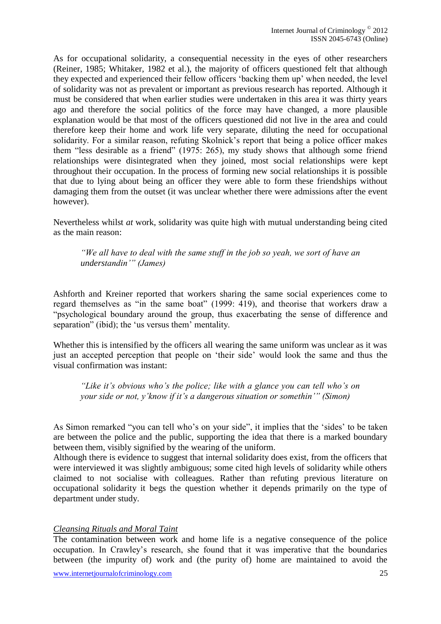As for occupational solidarity, a consequential necessity in the eyes of other researchers (Reiner, 1985; Whitaker, 1982 et al.), the majority of officers questioned felt that although they expected and experienced their fellow officers 'backing them up' when needed, the level of solidarity was not as prevalent or important as previous research has reported. Although it must be considered that when earlier studies were undertaken in this area it was thirty years ago and therefore the social politics of the force may have changed, a more plausible explanation would be that most of the officers questioned did not live in the area and could therefore keep their home and work life very separate, diluting the need for occupational solidarity. For a similar reason, refuting Skolnick's report that being a police officer makes them "less desirable as a friend" (1975: 265), my study shows that although some friend relationships were disintegrated when they joined, most social relationships were kept throughout their occupation. In the process of forming new social relationships it is possible that due to lying about being an officer they were able to form these friendships without damaging them from the outset (it was unclear whether there were admissions after the event however).

Nevertheless whilst *at* work, solidarity was quite high with mutual understanding being cited as the main reason:

*"We all have to deal with the same stuff in the job so yeah, we sort of have an understandin'" (James)*

Ashforth and Kreiner reported that workers sharing the same social experiences come to regard themselves as "in the same boat" (1999: 419), and theorise that workers draw a "psychological boundary around the group, thus exacerbating the sense of difference and separation" (ibid); the 'us versus them' mentality.

Whether this is intensified by the officers all wearing the same uniform was unclear as it was just an accepted perception that people on 'their side' would look the same and thus the visual confirmation was instant:

*"Like it's obvious who's the police; like with a glance you can tell who's on your side or not, y'know if it's a dangerous situation or somethin'" (Simon)*

As Simon remarked "you can tell who's on your side", it implies that the 'sides' to be taken are between the police and the public, supporting the idea that there is a marked boundary between them, visibly signified by the wearing of the uniform.

Although there is evidence to suggest that internal solidarity does exist, from the officers that were interviewed it was slightly ambiguous; some cited high levels of solidarity while others claimed to not socialise with colleagues. Rather than refuting previous literature on occupational solidarity it begs the question whether it depends primarily on the type of department under study.

#### *Cleansing Rituals and Moral Taint*

The contamination between work and home life is a negative consequence of the police occupation. In Crawley's research, she found that it was imperative that the boundaries between (the impurity of) work and (the purity of) home are maintained to avoid the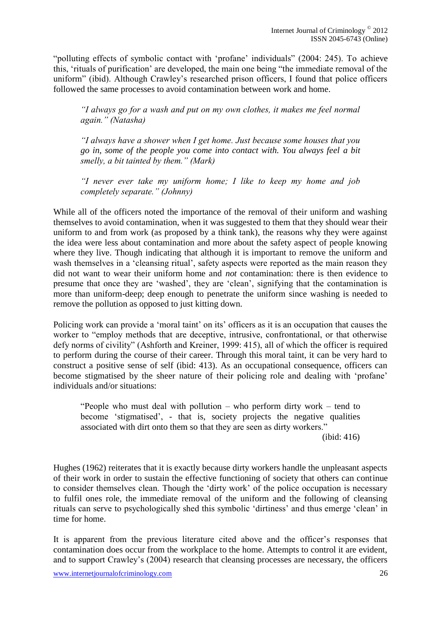"polluting effects of symbolic contact with 'profane' individuals" (2004: 245). To achieve this, 'rituals of purification' are developed, the main one being "the immediate removal of the uniform" (ibid). Although Crawley's researched prison officers, I found that police officers followed the same processes to avoid contamination between work and home.

*"I always go for a wash and put on my own clothes, it makes me feel normal again." (Natasha)*

*"I always have a shower when I get home. Just because some houses that you go in, some of the people you come into contact with. You always feel a bit smelly, a bit tainted by them." (Mark)*

*"I never ever take my uniform home; I like to keep my home and job completely separate." (Johnny)*

While all of the officers noted the importance of the removal of their uniform and washing themselves to avoid contamination, when it was suggested to them that they should wear their uniform to and from work (as proposed by a think tank), the reasons why they were against the idea were less about contamination and more about the safety aspect of people knowing where they live. Though indicating that although it is important to remove the uniform and wash themselves in a 'cleansing ritual', safety aspects were reported as the main reason they did not want to wear their uniform home and *not* contamination: there is then evidence to presume that once they are 'washed', they are 'clean', signifying that the contamination is more than uniform-deep; deep enough to penetrate the uniform since washing is needed to remove the pollution as opposed to just kitting down.

Policing work can provide a 'moral taint' on its' officers as it is an occupation that causes the worker to "employ methods that are deceptive, intrusive, confrontational, or that otherwise defy norms of civility" (Ashforth and Kreiner, 1999: 415), all of which the officer is required to perform during the course of their career. Through this moral taint, it can be very hard to construct a positive sense of self (ibid: 413). As an occupational consequence, officers can become stigmatised by the sheer nature of their policing role and dealing with 'profane' individuals and/or situations:

"People who must deal with pollution – who perform dirty work – tend to become 'stigmatised', - that is, society projects the negative qualities associated with dirt onto them so that they are seen as dirty workers."

(ibid: 416)

Hughes (1962) reiterates that it is exactly because dirty workers handle the unpleasant aspects of their work in order to sustain the effective functioning of society that others can continue to consider themselves clean. Though the 'dirty work' of the police occupation is necessary to fulfil ones role, the immediate removal of the uniform and the following of cleansing rituals can serve to psychologically shed this symbolic 'dirtiness' and thus emerge 'clean' in time for home.

It is apparent from the previous literature cited above and the officer's responses that contamination does occur from the workplace to the home. Attempts to control it are evident, and to support Crawley's (2004) research that cleansing processes are necessary, the officers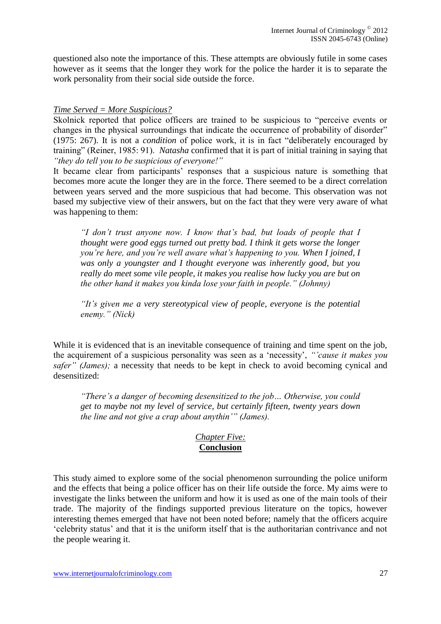questioned also note the importance of this. These attempts are obviously futile in some cases however as it seems that the longer they work for the police the harder it is to separate the work personality from their social side outside the force.

#### *Time Served = More Suspicious?*

Skolnick reported that police officers are trained to be suspicious to "perceive events or changes in the physical surroundings that indicate the occurrence of probability of disorder" (1975: 267). It is not a *condition* of police work, it is in fact "deliberately encouraged by training" (Reiner, 1985: 91). *Natasha* confirmed that it is part of initial training in saying that *"they do tell you to be suspicious of everyone!"*

It became clear from participants' responses that a suspicious nature is something that becomes more acute the longer they are in the force. There seemed to be a direct correlation between years served and the more suspicious that had become. This observation was not based my subjective view of their answers, but on the fact that they were very aware of what was happening to them:

*"I don't trust anyone now. I know that's bad, but loads of people that I thought were good eggs turned out pretty bad. I think it gets worse the longer you're here, and you're well aware what's happening to you. When I joined, I was only a youngster and I thought everyone was inherently good, but you really do meet some vile people, it makes you realise how lucky you are but on the other hand it makes you kinda lose your faith in people." (Johnny)*

*"It's given me a very stereotypical view of people, everyone is the potential enemy." (Nick)*

While it is evidenced that is an inevitable consequence of training and time spent on the job, the acquirement of a suspicious personality was seen as a 'necessity', *"'cause it makes you safer" (James);* a necessity that needs to be kept in check to avoid becoming cynical and desensitized:

*"There's a danger of becoming desensitized to the job… Otherwise, you could get to maybe not my level of service, but certainly fifteen, twenty years down the line and not give a crap about anythin'" (James).* 

## *Chapter Five:*  **Conclusion**

This study aimed to explore some of the social phenomenon surrounding the police uniform and the effects that being a police officer has on their life outside the force. My aims were to investigate the links between the uniform and how it is used as one of the main tools of their trade. The majority of the findings supported previous literature on the topics, however interesting themes emerged that have not been noted before; namely that the officers acquire 'celebrity status' and that it is the uniform itself that is the authoritarian contrivance and not the people wearing it.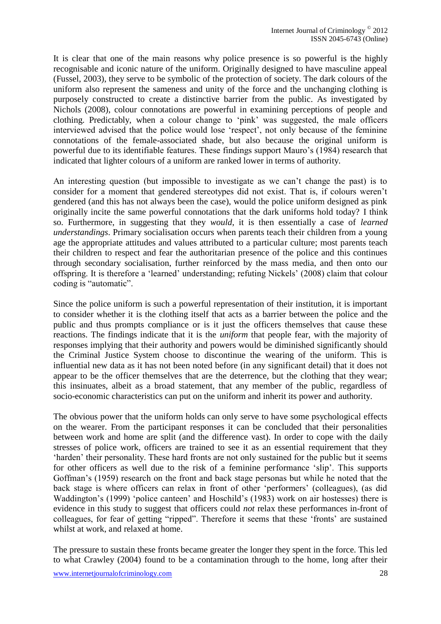It is clear that one of the main reasons why police presence is so powerful is the highly recognisable and iconic nature of the uniform. Originally designed to have masculine appeal (Fussel, 2003), they serve to be symbolic of the protection of society. The dark colours of the uniform also represent the sameness and unity of the force and the unchanging clothing is purposely constructed to create a distinctive barrier from the public. As investigated by Nichols (2008), colour connotations are powerful in examining perceptions of people and clothing. Predictably, when a colour change to 'pink' was suggested, the male officers interviewed advised that the police would lose 'respect', not only because of the feminine connotations of the female-associated shade, but also because the original uniform is powerful due to its identifiable features. These findings support Mauro's (1984) research that indicated that lighter colours of a uniform are ranked lower in terms of authority.

An interesting question (but impossible to investigate as we can't change the past) is to consider for a moment that gendered stereotypes did not exist. That is, if colours weren't gendered (and this has not always been the case), would the police uniform designed as pink originally incite the same powerful connotations that the dark uniforms hold today? I think so. Furthermore, in suggesting that they *would*, it is then essentially a case of *learned understandings*. Primary socialisation occurs when parents teach their children from a young age the appropriate attitudes and values attributed to a particular culture; most parents teach their children to respect and fear the authoritarian presence of the police and this continues through secondary socialisation, further reinforced by the mass media, and then onto our offspring. It is therefore a 'learned' understanding; refuting Nickels' (2008) claim that colour coding is "automatic".

Since the police uniform is such a powerful representation of their institution, it is important to consider whether it is the clothing itself that acts as a barrier between the police and the public and thus prompts compliance or is it just the officers themselves that cause these reactions. The findings indicate that it is the *uniform* that people fear, with the majority of responses implying that their authority and powers would be diminished significantly should the Criminal Justice System choose to discontinue the wearing of the uniform. This is influential new data as it has not been noted before (in any significant detail) that it does not appear to be the officer themselves that are the deterrence, but the clothing that they wear; this insinuates, albeit as a broad statement, that any member of the public, regardless of socio-economic characteristics can put on the uniform and inherit its power and authority.

The obvious power that the uniform holds can only serve to have some psychological effects on the wearer. From the participant responses it can be concluded that their personalities between work and home are split (and the difference vast). In order to cope with the daily stresses of police work, officers are trained to see it as an essential requirement that they 'harden' their personality. These hard fronts are not only sustained for the public but it seems for other officers as well due to the risk of a feminine performance 'slip'. This supports Goffman's (1959) research on the front and back stage personas but while he noted that the back stage is where officers can relax in front of other 'performers' (colleagues), (as did Waddington's (1999) 'police canteen' and Hoschild's (1983) work on air hostesses) there is evidence in this study to suggest that officers could *not* relax these performances in-front of colleagues, for fear of getting "ripped". Therefore it seems that these 'fronts' are sustained whilst at work, and relaxed at home.

The pressure to sustain these fronts became greater the longer they spent in the force. This led to what Crawley (2004) found to be a contamination through to the home, long after their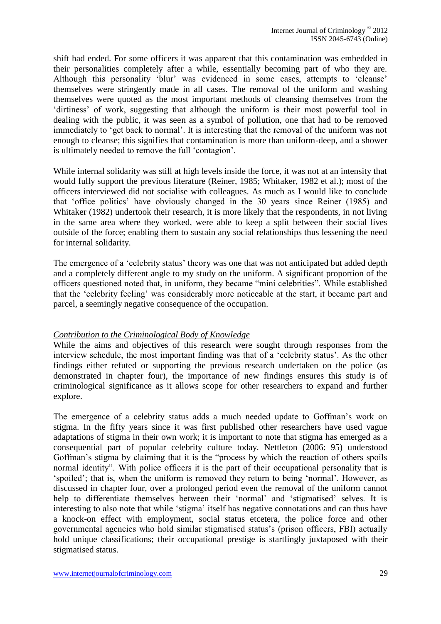shift had ended. For some officers it was apparent that this contamination was embedded in their personalities completely after a while, essentially becoming part of who they are. Although this personality 'blur' was evidenced in some cases, attempts to 'cleanse' themselves were stringently made in all cases. The removal of the uniform and washing themselves were quoted as the most important methods of cleansing themselves from the 'dirtiness' of work, suggesting that although the uniform is their most powerful tool in dealing with the public, it was seen as a symbol of pollution, one that had to be removed immediately to 'get back to normal'. It is interesting that the removal of the uniform was not enough to cleanse; this signifies that contamination is more than uniform-deep, and a shower is ultimately needed to remove the full 'contagion'.

While internal solidarity was still at high levels inside the force, it was not at an intensity that would fully support the previous literature (Reiner, 1985; Whitaker, 1982 et al.); most of the officers interviewed did not socialise with colleagues. As much as I would like to conclude that 'office politics' have obviously changed in the 30 years since Reiner (1985) and Whitaker (1982) undertook their research, it is more likely that the respondents, in not living in the same area where they worked, were able to keep a split between their social lives outside of the force; enabling them to sustain any social relationships thus lessening the need for internal solidarity.

The emergence of a 'celebrity status' theory was one that was not anticipated but added depth and a completely different angle to my study on the uniform. A significant proportion of the officers questioned noted that, in uniform, they became "mini celebrities". While established that the 'celebrity feeling' was considerably more noticeable at the start, it became part and parcel, a seemingly negative consequence of the occupation.

#### *Contribution to the Criminological Body of Knowledge*

While the aims and objectives of this research were sought through responses from the interview schedule, the most important finding was that of a 'celebrity status'. As the other findings either refuted or supporting the previous research undertaken on the police (as demonstrated in chapter four), the importance of new findings ensures this study is of criminological significance as it allows scope for other researchers to expand and further explore.

The emergence of a celebrity status adds a much needed update to Goffman's work on stigma. In the fifty years since it was first published other researchers have used vague adaptations of stigma in their own work; it is important to note that stigma has emerged as a consequential part of popular celebrity culture today. Nettleton (2006: 95) understood Goffman's stigma by claiming that it is the "process by which the reaction of others spoils normal identity". With police officers it is the part of their occupational personality that is 'spoiled'; that is, when the uniform is removed they return to being 'normal'. However, as discussed in chapter four, over a prolonged period even the removal of the uniform cannot help to differentiate themselves between their 'normal' and 'stigmatised' selves. It is interesting to also note that while 'stigma' itself has negative connotations and can thus have a knock-on effect with employment, social status etcetera, the police force and other governmental agencies who hold similar stigmatised status's (prison officers, FBI) actually hold unique classifications; their occupational prestige is startlingly juxtaposed with their stigmatised status.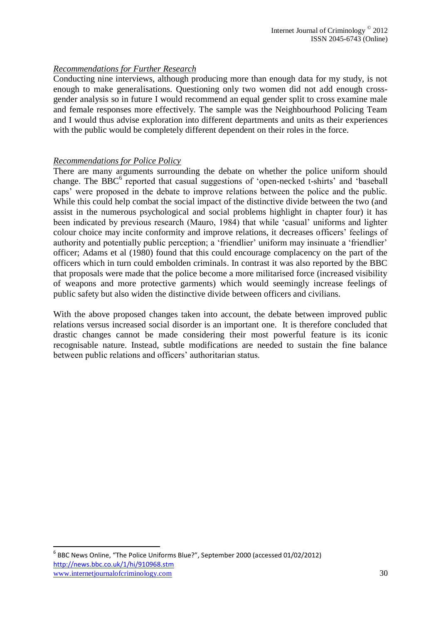## *Recommendations for Further Research*

Conducting nine interviews, although producing more than enough data for my study, is not enough to make generalisations. Questioning only two women did not add enough crossgender analysis so in future I would recommend an equal gender split to cross examine male and female responses more effectively. The sample was the Neighbourhood Policing Team and I would thus advise exploration into different departments and units as their experiences with the public would be completely different dependent on their roles in the force.

#### *Recommendations for Police Policy*

There are many arguments surrounding the debate on whether the police uniform should change. The  $\overline{BBC}^6$  reported that casual suggestions of 'open-necked t-shirts' and 'baseball caps' were proposed in the debate to improve relations between the police and the public. While this could help combat the social impact of the distinctive divide between the two (and assist in the numerous psychological and social problems highlight in chapter four) it has been indicated by previous research (Mauro, 1984) that while 'casual' uniforms and lighter colour choice may incite conformity and improve relations, it decreases officers' feelings of authority and potentially public perception; a 'friendlier' uniform may insinuate a 'friendlier' officer; Adams et al (1980) found that this could encourage complacency on the part of the officers which in turn could embolden criminals. In contrast it was also reported by the BBC that proposals were made that the police become a more militarised force (increased visibility of weapons and more protective garments) which would seemingly increase feelings of public safety but also widen the distinctive divide between officers and civilians.

With the above proposed changes taken into account, the debate between improved public relations versus increased social disorder is an important one. It is therefore concluded that drastic changes cannot be made considering their most powerful feature is its iconic recognisable nature. Instead, subtle modifications are needed to sustain the fine balance between public relations and officers' authoritarian status.

1

www.internetiournalofcriminology.com 30 6 BBC News Online, "The Police Uniforms Blue?", September 2000 (accessed 01/02/2012) <http://news.bbc.co.uk/1/hi/910968.stm>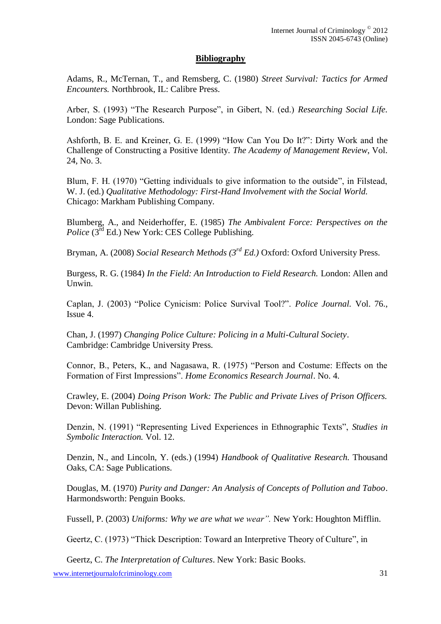## **Bibliography**

Adams, R., McTernan, T., and Remsberg, C. (1980) *Street Survival: Tactics for Armed Encounters.* Northbrook, IL: Calibre Press.

Arber, S. (1993) "The Research Purpose", in Gibert, N. (ed.) *Researching Social Life.* London: Sage Publications.

Ashforth, B. E. and Kreiner, G. E. (1999) "How Can You Do It?": Dirty Work and the Challenge of Constructing a Positive Identity. *The Academy of Management Review*, Vol. 24, No. 3.

Blum, F. H. (1970) "Getting individuals to give information to the outside", in Filstead, W. J. (ed.) *Qualitative Methodology: First-Hand Involvement with the Social World.* Chicago: Markham Publishing Company.

Blumberg, A., and Neiderhoffer, E. (1985) *The Ambivalent Force: Perspectives on the Police* (3<sup>rd</sup> Ed.) New York: CES College Publishing.

Bryman, A. (2008) *Social Research Methods (3rd Ed.)* Oxford: Oxford University Press.

Burgess, R. G. (1984) *In the Field: An Introduction to Field Research.* London: Allen and Unwin.

Caplan, J. (2003) "Police Cynicism: Police Survival Tool?". *Police Journal.* Vol. 76., Issue 4.

Chan, J. (1997) *Changing Police Culture: Policing in a Multi-Cultural Society*. Cambridge: Cambridge University Press.

Connor, B., Peters, K., and Nagasawa, R. (1975) "Person and Costume: Effects on the Formation of First Impressions". *Home Economics Research Journal*. No. 4.

Crawley, E. (2004) *Doing Prison Work: The Public and Private Lives of Prison Officers.* Devon: Willan Publishing.

Denzin, N. (1991) "Representing Lived Experiences in Ethnographic Texts", *Studies in Symbolic Interaction.* Vol. 12.

Denzin, N., and Lincoln, Y. (eds.) (1994) *Handbook of Qualitative Research.* Thousand Oaks, CA: Sage Publications.

Douglas, M. (1970) *Purity and Danger: An Analysis of Concepts of Pollution and Taboo*. Harmondsworth: Penguin Books.

Fussell, P. (2003) *Uniforms: Why we are what we wear".* New York: Houghton Mifflin.

Geertz, C. (1973) "Thick Description: Toward an Interpretive Theory of Culture", in

Geertz, C. *The Interpretation of Cultures*. New York: Basic Books.

www.internetiournalofcriminology.com 31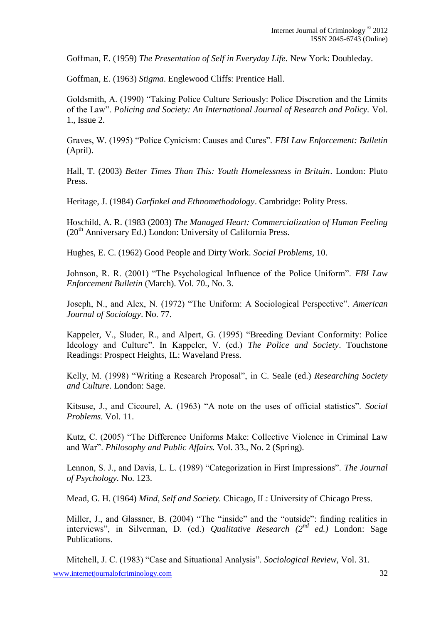Goffman, E. (1959) *The Presentation of Self in Everyday Life.* New York: Doubleday.

Goffman, E. (1963) *Stigma*. Englewood Cliffs: Prentice Hall.

Goldsmith, A. (1990) "Taking Police Culture Seriously: Police Discretion and the Limits of the Law". *Policing and Society: An International Journal of Research and Policy.* Vol. 1., Issue 2.

Graves, W. (1995) "Police Cynicism: Causes and Cures". *FBI Law Enforcement: Bulletin*  (April).

Hall, T. (2003) *Better Times Than This: Youth Homelessness in Britain*. London: Pluto Press.

Heritage, J. (1984) *Garfinkel and Ethnomethodology*. Cambridge: Polity Press.

Hoschild, A. R. (1983 (2003) *The Managed Heart: Commercialization of Human Feeling*  $(20<sup>th</sup>$  Anniversary Ed.) London: University of California Press.

Hughes, E. C. (1962) Good People and Dirty Work. *Social Problems*, 10.

Johnson, R. R. (2001) "The Psychological Influence of the Police Uniform". *FBI Law Enforcement Bulletin* (March). Vol. 70., No. 3.

Joseph, N., and Alex, N. (1972) "The Uniform: A Sociological Perspective". *American Journal of Sociology*. No. 77.

Kappeler, V., Sluder, R., and Alpert, G. (1995) "Breeding Deviant Conformity: Police Ideology and Culture". In Kappeler, V. (ed.) *The Police and Society*. Touchstone Readings: Prospect Heights, IL: Waveland Press.

Kelly, M. (1998) "Writing a Research Proposal", in C. Seale (ed.) *Researching Society and Culture*. London: Sage.

Kitsuse, J., and Cicourel, A. (1963) "A note on the uses of official statistics". *Social Problems*. Vol. 11.

Kutz, C. (2005) "The Difference Uniforms Make: Collective Violence in Criminal Law and War". *Philosophy and Public Affairs.* Vol. 33., No. 2 (Spring).

Lennon, S. J., and Davis, L. L. (1989) "Categorization in First Impressions". *The Journal of Psychology.* No. 123.

Mead, G. H. (1964) *Mind, Self and Society.* Chicago, IL: University of Chicago Press.

Miller, J., and Glassner, B. (2004) "The "inside" and the "outside": finding realities in interviews", in Silverman, D. (ed.) *Qualitative Research (2nd ed.)* London: Sage Publications.

Mitchell, J. C. (1983) "Case and Situational Analysis". *Sociological Review,* Vol. 31.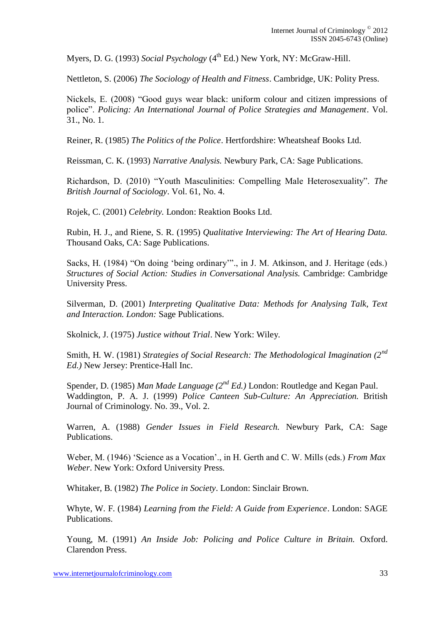Myers, D. G. (1993) *Social Psychology* (4th Ed.) New York, NY: McGraw-Hill.

Nettleton, S. (2006) *The Sociology of Health and Fitness*. Cambridge, UK: Polity Press.

Nickels, E. (2008) "Good guys wear black: uniform colour and citizen impressions of police". *Policing: An International Journal of Police Strategies and Management*. Vol. 31., No. 1.

Reiner, R. (1985) *The Politics of the Police*. Hertfordshire: Wheatsheaf Books Ltd.

Reissman, C. K. (1993) *Narrative Analysis.* Newbury Park, CA: Sage Publications.

Richardson, D. (2010) "Youth Masculinities: Compelling Male Heterosexuality". *The British Journal of Sociology*. Vol. 61, No. 4.

Rojek, C. (2001) *Celebrity.* London: Reaktion Books Ltd.

Rubin, H. J., and Riene, S. R. (1995) *Qualitative Interviewing: The Art of Hearing Data.* Thousand Oaks, CA: Sage Publications.

Sacks, H. (1984) "On doing 'being ordinary'"., in J. M. Atkinson, and J. Heritage (eds.) *Structures of Social Action: Studies in Conversational Analysis.* Cambridge: Cambridge University Press.

Silverman, D. (2001) *Interpreting Qualitative Data: Methods for Analysing Talk, Text and Interaction. London:* Sage Publications.

Skolnick, J. (1975) *Justice without Trial*. New York: Wiley.

Smith, H. W. (1981) *Strategies of Social Research: The Methodological Imagination (2nd Ed.)* New Jersey: Prentice-Hall Inc.

Spender, D. (1985) *Man Made Language (2nd Ed.)* London: Routledge and Kegan Paul. Waddington, P. A. J. (1999) *Police Canteen Sub-Culture: An Appreciation.* British Journal of Criminology. No. 39., Vol. 2.

Warren, A. (1988) *Gender Issues in Field Research.* Newbury Park, CA: Sage Publications.

Weber, M. (1946) 'Science as a Vocation'., in H. Gerth and C. W. Mills (eds.) *From Max Weber*. New York: Oxford University Press.

Whitaker, B. (1982) *The Police in Society*. London: Sinclair Brown.

Whyte, W. F. (1984) *Learning from the Field: A Guide from Experience*. London: SAGE Publications.

Young, M. (1991) *An Inside Job: Policing and Police Culture in Britain.* Oxford. Clarendon Press.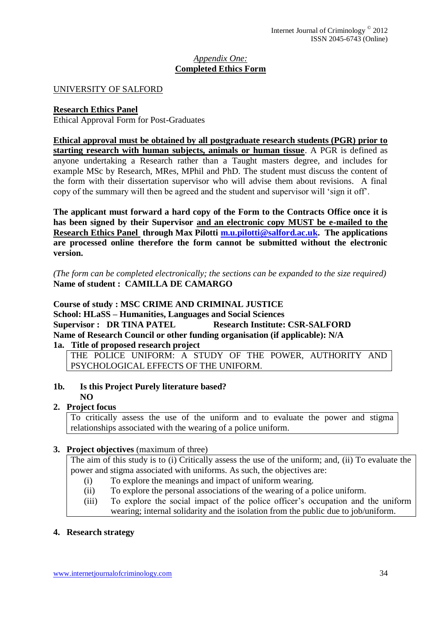## *Appendix One:* **Completed Ethics Form**

## UNIVERSITY OF SALFORD

## **Research Ethics Panel**

Ethical Approval Form for Post-Graduates

**Ethical approval must be obtained by all postgraduate research students (PGR) prior to starting research with human subjects, animals or human tissue**. A PGR is defined as anyone undertaking a Research rather than a Taught masters degree, and includes for example MSc by Research, MRes, MPhil and PhD. The student must discuss the content of the form with their dissertation supervisor who will advise them about revisions. A final copy of the summary will then be agreed and the student and supervisor will 'sign it off'.

**The applicant must forward a hard copy of the Form to the Contracts Office once it is has been signed by their Supervisor and an electronic copy MUST be e-mailed to the Research Ethics Panel through Max Pilotti [m.u.pilotti@salford.ac.uk.](mailto:m.u.pilotti@salford.ac.uk) The applications are processed online therefore the form cannot be submitted without the electronic version.**

*(The form can be completed electronically; the sections can be expanded to the size required)* **Name of student : CAMILLA DE CAMARGO**

**Course of study : MSC CRIME AND CRIMINAL JUSTICE School: HLaSS – Humanities, Languages and Social Sciences Supervisor :** DR TINA PATEL **Research Institute: CSR-SALFORD Name of Research Council or other funding organisation (if applicable): N/A 1a. Title of proposed research project**

THE POLICE UNIFORM: A STUDY OF THE POWER, AUTHORITY AND PSYCHOLOGICAL EFFECTS OF THE UNIFORM.

#### **1b. Is this Project Purely literature based? NO**

# **2. Project focus**

To critically assess the use of the uniform and to evaluate the power and stigma relationships associated with the wearing of a police uniform.

## **3. Project objectives** (maximum of three)

The aim of this study is to (i) Critically assess the use of the uniform; and, (ii) To evaluate the power and stigma associated with uniforms. As such, the objectives are:

- (i) To explore the meanings and impact of uniform wearing.
- (ii) To explore the personal associations of the wearing of a police uniform.
- (iii) To explore the social impact of the police officer's occupation and the uniform wearing; internal solidarity and the isolation from the public due to job/uniform.

## **4. Research strategy**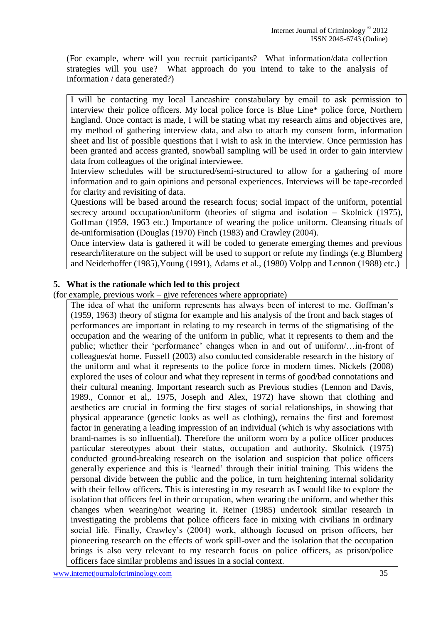(For example, where will you recruit participants? What information/data collection strategies will you use? What approach do you intend to take to the analysis of information / data generated?)

I will be contacting my local Lancashire constabulary by email to ask permission to interview their police officers. My local police force is Blue Line\* police force, Northern England. Once contact is made, I will be stating what my research aims and objectives are, my method of gathering interview data, and also to attach my consent form, information sheet and list of possible questions that I wish to ask in the interview. Once permission has been granted and access granted, snowball sampling will be used in order to gain interview data from colleagues of the original interviewee.

Interview schedules will be structured/semi-structured to allow for a gathering of more information and to gain opinions and personal experiences. Interviews will be tape-recorded for clarity and revisiting of data.

Questions will be based around the research focus; social impact of the uniform, potential secrecy around occupation/uniform (theories of stigma and isolation – Skolnick (1975), Goffman (1959, 1963 etc.) Importance of wearing the police uniform. Cleansing rituals of de-uniformisation (Douglas (1970) Finch (1983) and Crawley (2004).

Once interview data is gathered it will be coded to generate emerging themes and previous research/literature on the subject will be used to support or refute my findings (e.g Blumberg and Neiderhoffer (1985),Young (1991), Adams et al., (1980) Volpp and Lennon (1988) etc.)

## **5. What is the rationale which led to this project**

(for example, previous work – give references where appropriate)

The idea of what the uniform represents has always been of interest to me. Goffman's (1959, 1963) theory of stigma for example and his analysis of the front and back stages of performances are important in relating to my research in terms of the stigmatising of the occupation and the wearing of the uniform in public, what it represents to them and the public; whether their 'performance' changes when in and out of uniform/…in-front of colleagues/at home. Fussell (2003) also conducted considerable research in the history of the uniform and what it represents to the police force in modern times. Nickels (2008) explored the uses of colour and what they represent in terms of good/bad connotations and their cultural meaning. Important research such as Previous studies (Lennon and Davis, 1989., Connor et al,. 1975, Joseph and Alex, 1972) have shown that clothing and aesthetics are crucial in forming the first stages of social relationships, in showing that physical appearance (genetic looks as well as clothing), remains the first and foremost factor in generating a leading impression of an individual (which is why associations with brand-names is so influential). Therefore the uniform worn by a police officer produces particular stereotypes about their status, occupation and authority. Skolnick (1975) conducted ground-breaking research on the isolation and suspicion that police officers generally experience and this is 'learned' through their initial training. This widens the personal divide between the public and the police, in turn heightening internal solidarity with their fellow officers. This is interesting in my research as I would like to explore the isolation that officers feel in their occupation, when wearing the uniform, and whether this changes when wearing/not wearing it. Reiner (1985) undertook similar research in investigating the problems that police officers face in mixing with civilians in ordinary social life. Finally, Crawley's (2004) work, although focused on prison officers, her pioneering research on the effects of work spill-over and the isolation that the occupation brings is also very relevant to my research focus on police officers, as prison/police officers face similar problems and issues in a social context.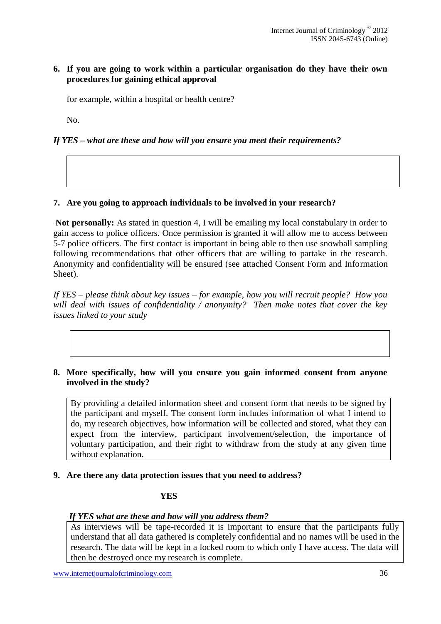## **6. If you are going to work within a particular organisation do they have their own procedures for gaining ethical approval**

for example, within a hospital or health centre?

No.

## *If YES – what are these and how will you ensure you meet their requirements?*

## **7. Are you going to approach individuals to be involved in your research?**

**Not personally:** As stated in question 4, I will be emailing my local constabulary in order to gain access to police officers. Once permission is granted it will allow me to access between 5-7 police officers. The first contact is important in being able to then use snowball sampling following recommendations that other officers that are willing to partake in the research. Anonymity and confidentiality will be ensured (see attached Consent Form and Information Sheet).

*If YES – please think about key issues – for example, how you will recruit people? How you will deal with issues of confidentiality / anonymity? Then make notes that cover the key issues linked to your study*

#### **8. More specifically, how will you ensure you gain informed consent from anyone involved in the study?**

By providing a detailed information sheet and consent form that needs to be signed by the participant and myself. The consent form includes information of what I intend to do, my research objectives, how information will be collected and stored, what they can expect from the interview, participant involvement/selection, the importance of voluntary participation, and their right to withdraw from the study at any given time without explanation.

#### **9. Are there any data protection issues that you need to address?**

## **YES**

#### *If YES what are these and how will you address them?*

As interviews will be tape-recorded it is important to ensure that the participants fully understand that all data gathered is completely confidential and no names will be used in the research. The data will be kept in a locked room to which only I have access. The data will then be destroyed once my research is complete.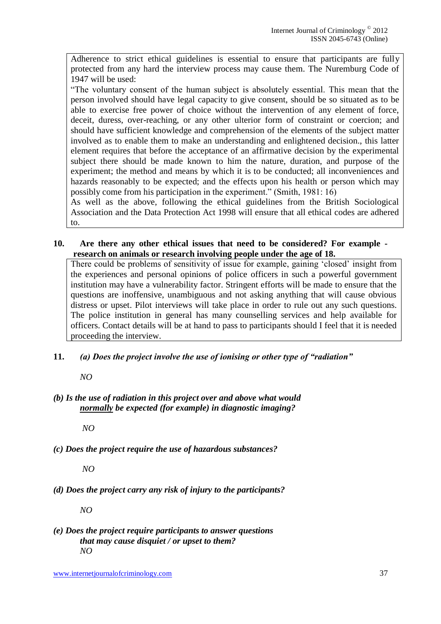Adherence to strict ethical guidelines is essential to ensure that participants are fully protected from any hard the interview process may cause them. The Nuremburg Code of 1947 will be used:

"The voluntary consent of the human subject is absolutely essential. This mean that the person involved should have legal capacity to give consent, should be so situated as to be able to exercise free power of choice without the intervention of any element of force, deceit, duress, over-reaching, or any other ulterior form of constraint or coercion; and should have sufficient knowledge and comprehension of the elements of the subject matter involved as to enable them to make an understanding and enlightened decision., this latter element requires that before the acceptance of an affirmative decision by the experimental subject there should be made known to him the nature, duration, and purpose of the experiment; the method and means by which it is to be conducted; all inconveniences and hazards reasonably to be expected; and the effects upon his health or person which may possibly come from his participation in the experiment." (Smith, 1981: 16)

As well as the above, following the ethical guidelines from the British Sociological Association and the Data Protection Act 1998 will ensure that all ethical codes are adhered to.

**10. Are there any other ethical issues that need to be considered? For example research on animals or research involving people under the age of 18.**

There could be problems of sensitivity of issue for example, gaining 'closed' insight from the experiences and personal opinions of police officers in such a powerful government institution may have a vulnerability factor. Stringent efforts will be made to ensure that the questions are inoffensive, unambiguous and not asking anything that will cause obvious distress or upset. Pilot interviews will take place in order to rule out any such questions. The police institution in general has many counselling services and help available for officers. Contact details will be at hand to pass to participants should I feel that it is needed proceeding the interview.

**11.** *(a) Does the project involve the use of ionising or other type of "radiation"* 

*NO*

*(b) Is the use of radiation in this project over and above what would normally be expected (for example) in diagnostic imaging?*

*NO*

*(c) Does the project require the use of hazardous substances?*

*NO*

*(d) Does the project carry any risk of injury to the participants?*

*NO*

*(e) Does the project require participants to answer questions that may cause disquiet / or upset to them? NO*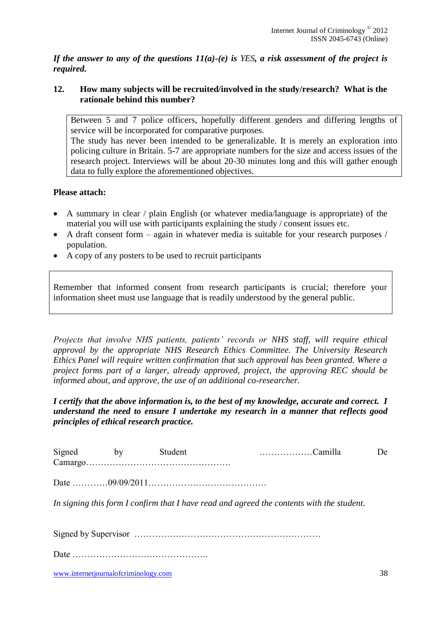*If the answer to any of the questions 11(a)-(e) is YES, a risk assessment of the project is required.*

## **12. How many subjects will be recruited/involved in the study/research? What is the rationale behind this number?**

Between 5 and 7 police officers, hopefully different genders and differing lengths of service will be incorporated for comparative purposes.

The study has never been intended to be generalizable. It is merely an exploration into policing culture in Britain. 5-7 are appropriate numbers for the size and access issues of the research project. Interviews will be about 20-30 minutes long and this will gather enough data to fully explore the aforementioned objectives.

#### **Please attach:**

- A summary in clear / plain English (or whatever media/language is appropriate) of the material you will use with participants explaining the study / consent issues etc.
- A draft consent form again in whatever media is suitable for your research purposes / population.
- A copy of any posters to be used to recruit participants

Remember that informed consent from research participants is crucial; therefore your information sheet must use language that is readily understood by the general public.

*Projects that involve NHS patients, patients' records or NHS staff, will require ethical approval by the appropriate NHS Research Ethics Committee. The University Research Ethics Panel will require written confirmation that such approval has been granted. Where a project forms part of a larger, already approved, project, the approving REC should be informed about, and approve, the use of an additional co-researcher.*

*I certify that the above information is, to the best of my knowledge, accurate and correct. I understand the need to ensure I undertake my research in a manner that reflects good principles of ethical research practice.*

| Signed by Student |  |                                                                                           | De. |
|-------------------|--|-------------------------------------------------------------------------------------------|-----|
|                   |  |                                                                                           |     |
|                   |  | In signing this form I confirm that I have read and agreed the contents with the student. |     |
|                   |  |                                                                                           |     |
|                   |  |                                                                                           |     |

www.internetjournalofcriminology.com 38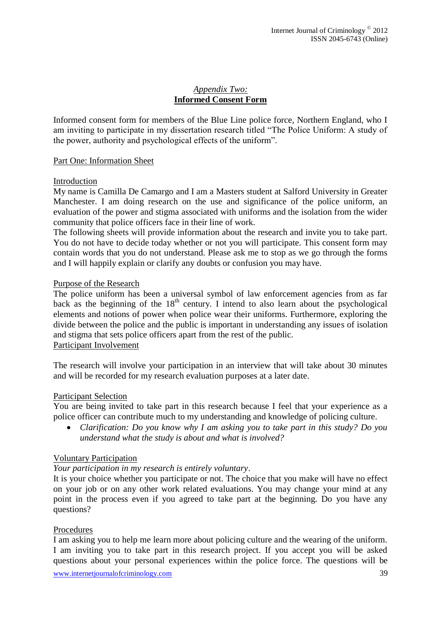## *Appendix Two:* **Informed Consent Form**

Informed consent form for members of the Blue Line police force, Northern England, who I am inviting to participate in my dissertation research titled "The Police Uniform: A study of the power, authority and psychological effects of the uniform".

## Part One: Information Sheet

#### Introduction

My name is Camilla De Camargo and I am a Masters student at Salford University in Greater Manchester. I am doing research on the use and significance of the police uniform, an evaluation of the power and stigma associated with uniforms and the isolation from the wider community that police officers face in their line of work.

The following sheets will provide information about the research and invite you to take part. You do not have to decide today whether or not you will participate. This consent form may contain words that you do not understand. Please ask me to stop as we go through the forms and I will happily explain or clarify any doubts or confusion you may have.

## Purpose of the Research

The police uniform has been a universal symbol of law enforcement agencies from as far back as the beginning of the 18<sup>th</sup> century. I intend to also learn about the psychological elements and notions of power when police wear their uniforms. Furthermore, exploring the divide between the police and the public is important in understanding any issues of isolation and stigma that sets police officers apart from the rest of the public. Participant Involvement

The research will involve your participation in an interview that will take about 30 minutes and will be recorded for my research evaluation purposes at a later date.

#### Participant Selection

You are being invited to take part in this research because I feel that your experience as a police officer can contribute much to my understanding and knowledge of policing culture.

 *Clarification: Do you know why I am asking you to take part in this study? Do you understand what the study is about and what is involved?*

#### Voluntary Participation

## *Your participation in my research is entirely voluntary*.

It is your choice whether you participate or not. The choice that you make will have no effect on your job or on any other work related evaluations. You may change your mind at any point in the process even if you agreed to take part at the beginning. Do you have any questions?

## Procedures

I am asking you to help me learn more about policing culture and the wearing of the uniform. I am inviting you to take part in this research project. If you accept you will be asked questions about your personal experiences within the police force. The questions will be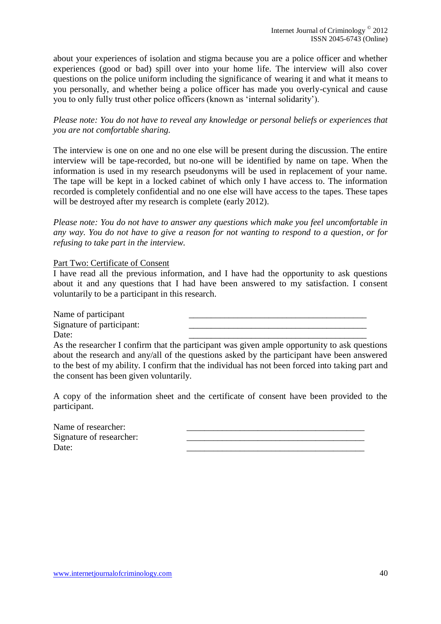about your experiences of isolation and stigma because you are a police officer and whether experiences (good or bad) spill over into your home life. The interview will also cover questions on the police uniform including the significance of wearing it and what it means to you personally, and whether being a police officer has made you overly-cynical and cause you to only fully trust other police officers (known as 'internal solidarity').

*Please note: You do not have to reveal any knowledge or personal beliefs or experiences that you are not comfortable sharing.* 

The interview is one on one and no one else will be present during the discussion. The entire interview will be tape-recorded, but no-one will be identified by name on tape. When the information is used in my research pseudonyms will be used in replacement of your name. The tape will be kept in a locked cabinet of which only I have access to. The information recorded is completely confidential and no one else will have access to the tapes. These tapes will be destroyed after my research is complete (early 2012).

*Please note: You do not have to answer any questions which make you feel uncomfortable in any way. You do not have to give a reason for not wanting to respond to a question, or for refusing to take part in the interview.* 

#### Part Two: Certificate of Consent

I have read all the previous information, and I have had the opportunity to ask questions about it and any questions that I had have been answered to my satisfaction. I consent voluntarily to be a participant in this research.

Name of participant Signature of participant:

Date: 2008. 2010. 2010. 2010. 2010. 2010. 2010. 2010. 2010. 2010. 2010. 2010. 2010. 2010. 2010. 2010. 2010. 20

As the researcher I confirm that the participant was given ample opportunity to ask questions about the research and any/all of the questions asked by the participant have been answered to the best of my ability. I confirm that the individual has not been forced into taking part and the consent has been given voluntarily.

A copy of the information sheet and the certificate of consent have been provided to the participant.

Name of researcher: Signature of researcher: Date: 2008. 2010. 2010. 2010. 2010. 2010. 2010. 2010. 2010. 2010. 2010. 2010. 2010. 2010. 2010. 2010. 2010. 20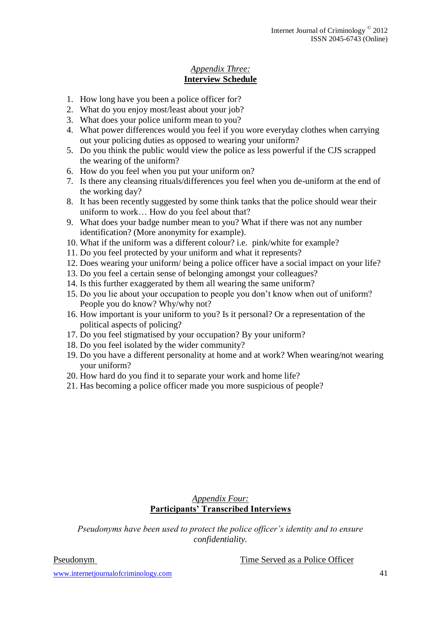## *Appendix Three:* **Interview Schedule**

- 1. How long have you been a police officer for?
- 2. What do you enjoy most/least about your job?
- 3. What does your police uniform mean to you?
- 4. What power differences would you feel if you wore everyday clothes when carrying out your policing duties as opposed to wearing your uniform?
- 5. Do you think the public would view the police as less powerful if the CJS scrapped the wearing of the uniform?
- 6. How do you feel when you put your uniform on?
- 7. Is there any cleansing rituals/differences you feel when you de-uniform at the end of the working day?
- 8. It has been recently suggested by some think tanks that the police should wear their uniform to work… How do you feel about that?
- 9. What does your badge number mean to you? What if there was not any number identification? (More anonymity for example).
- 10. What if the uniform was a different colour? i.e. pink/white for example?
- 11. Do you feel protected by your uniform and what it represents?
- 12. Does wearing your uniform/ being a police officer have a social impact on your life?
- 13. Do you feel a certain sense of belonging amongst your colleagues?
- 14. Is this further exaggerated by them all wearing the same uniform?
- 15. Do you lie about your occupation to people you don't know when out of uniform? People you do know? Why/why not?
- 16. How important is your uniform to you? Is it personal? Or a representation of the political aspects of policing?
- 17. Do you feel stigmatised by your occupation? By your uniform?
- 18. Do you feel isolated by the wider community?
- 19. Do you have a different personality at home and at work? When wearing/not wearing your uniform?
- 20. How hard do you find it to separate your work and home life?
- 21. Has becoming a police officer made you more suspicious of people?

## *Appendix Four:* **Participants' Transcribed Interviews**

*Pseudonyms have been used to protect the police officer's identity and to ensure confidentiality.*

Pseudonym Time Served as a Police Officer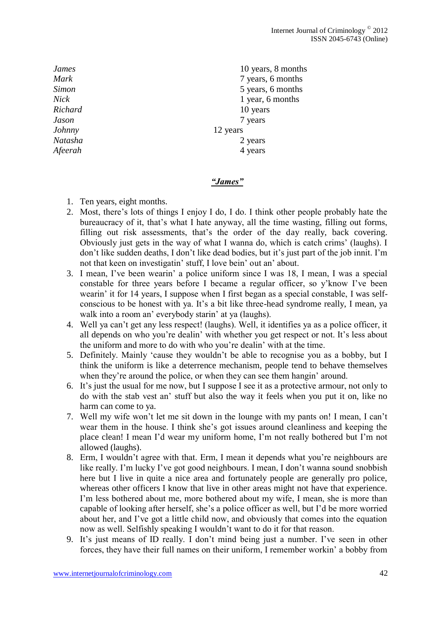*Johnny* 12 years

*James* 10 years, 8 months *Mark* 7 years, 6 months *Simon* 5 years, 6 months *Nick* 1 year, 6 months *Richard* 10 years 10 years *Jason* 7 years *Natasha* 2 years *Afeerah* 4 years

## *"James"*

- 1. Ten years, eight months.
- 2. Most, there's lots of things I enjoy I do, I do. I think other people probably hate the bureaucracy of it, that's what I hate anyway, all the time wasting, filling out forms, filling out risk assessments, that's the order of the day really, back covering. Obviously just gets in the way of what I wanna do, which is catch crims' (laughs). I don't like sudden deaths, I don't like dead bodies, but it's just part of the job innit. I'm not that keen on investigatin' stuff, I love bein' out an' about.
- 3. I mean, I've been wearin' a police uniform since I was 18, I mean, I was a special constable for three years before I became a regular officer, so y'know I've been wearin' it for 14 years, I suppose when I first began as a special constable, I was selfconscious to be honest with ya. It's a bit like three-head syndrome really, I mean, ya walk into a room an' everybody starin' at ya (laughs).
- 4. Well ya can't get any less respect! (laughs). Well, it identifies ya as a police officer, it all depends on who you're dealin' with whether you get respect or not. It's less about the uniform and more to do with who you're dealin' with at the time.
- 5. Definitely. Mainly 'cause they wouldn't be able to recognise you as a bobby, but I think the uniform is like a deterrence mechanism, people tend to behave themselves when they're around the police, or when they can see them hangin' around.
- 6. It's just the usual for me now, but I suppose I see it as a protective armour, not only to do with the stab vest an' stuff but also the way it feels when you put it on, like no harm can come to ya.
- 7. Well my wife won't let me sit down in the lounge with my pants on! I mean, I can't wear them in the house. I think she's got issues around cleanliness and keeping the place clean! I mean I'd wear my uniform home, I'm not really bothered but I'm not allowed (laughs).
- 8. Erm, I wouldn't agree with that. Erm, I mean it depends what you're neighbours are like really. I'm lucky I've got good neighbours. I mean, I don't wanna sound snobbish here but I live in quite a nice area and fortunately people are generally pro police, whereas other officers I know that live in other areas might not have that experience. I'm less bothered about me, more bothered about my wife, I mean, she is more than capable of looking after herself, she's a police officer as well, but I'd be more worried about her, and I've got a little child now, and obviously that comes into the equation now as well. Selfishly speaking I wouldn't want to do it for that reason.
- 9. It's just means of ID really. I don't mind being just a number. I've seen in other forces, they have their full names on their uniform, I remember workin' a bobby from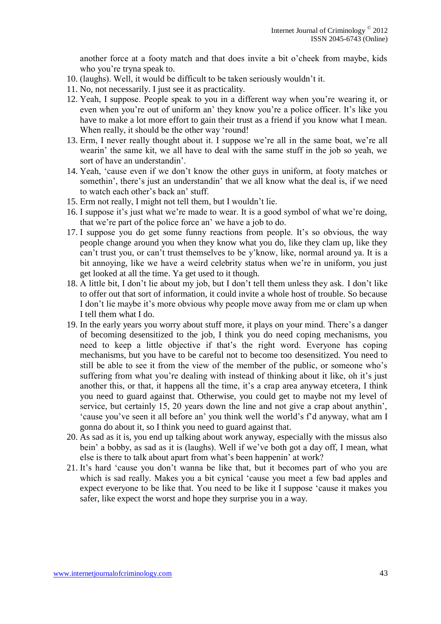another force at a footy match and that does invite a bit o'cheek from maybe, kids who you're tryna speak to.

- 10. (laughs). Well, it would be difficult to be taken seriously wouldn't it.
- 11. No, not necessarily. I just see it as practicality.
- 12. Yeah, I suppose. People speak to you in a different way when you're wearing it, or even when you're out of uniform an' they know you're a police officer. It's like you have to make a lot more effort to gain their trust as a friend if you know what I mean. When really, it should be the other way 'round!
- 13. Erm, I never really thought about it. I suppose we're all in the same boat, we're all wearin' the same kit, we all have to deal with the same stuff in the job so yeah, we sort of have an understandin'.
- 14. Yeah, 'cause even if we don't know the other guys in uniform, at footy matches or somethin', there's just an understandin' that we all know what the deal is, if we need to watch each other's back an' stuff.
- 15. Erm not really, I might not tell them, but I wouldn't lie.
- 16. I suppose it's just what we're made to wear. It is a good symbol of what we're doing, that we're part of the police force an' we have a job to do.
- 17. I suppose you do get some funny reactions from people. It's so obvious, the way people change around you when they know what you do, like they clam up, like they can't trust you, or can't trust themselves to be y'know, like, normal around ya. It is a bit annoying, like we have a weird celebrity status when we're in uniform, you just get looked at all the time. Ya get used to it though.
- 18. A little bit, I don't lie about my job, but I don't tell them unless they ask. I don't like to offer out that sort of information, it could invite a whole host of trouble. So because I don't lie maybe it's more obvious why people move away from me or clam up when I tell them what I do.
- 19. In the early years you worry about stuff more, it plays on your mind. There's a danger of becoming desensitized to the job, I think you do need coping mechanisms, you need to keep a little objective if that's the right word. Everyone has coping mechanisms, but you have to be careful not to become too desensitized. You need to still be able to see it from the view of the member of the public, or someone who's suffering from what you're dealing with instead of thinking about it like, oh it's just another this, or that, it happens all the time, it's a crap area anyway etcetera, I think you need to guard against that. Otherwise, you could get to maybe not my level of service, but certainly 15, 20 years down the line and not give a crap about anythin', 'cause you've seen it all before an' you think well the world's f'd anyway, what am I gonna do about it, so I think you need to guard against that.
- 20. As sad as it is, you end up talking about work anyway, especially with the missus also bein' a bobby, as sad as it is (laughs). Well if we've both got a day off, I mean, what else is there to talk about apart from what's been happenin' at work?
- 21. It's hard 'cause you don't wanna be like that, but it becomes part of who you are which is sad really. Makes you a bit cynical 'cause you meet a few bad apples and expect everyone to be like that. You need to be like it I suppose 'cause it makes you safer, like expect the worst and hope they surprise you in a way.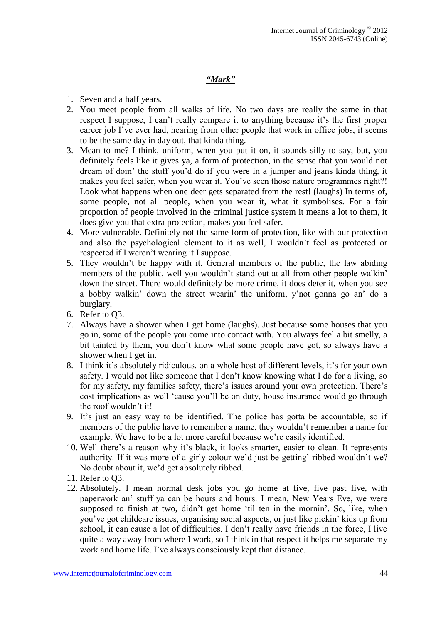## *"Mark"*

- 1. Seven and a half years.
- 2. You meet people from all walks of life. No two days are really the same in that respect I suppose, I can't really compare it to anything because it's the first proper career job I've ever had, hearing from other people that work in office jobs, it seems to be the same day in day out, that kinda thing.
- 3. Mean to me? I think, uniform, when you put it on, it sounds silly to say, but, you definitely feels like it gives ya, a form of protection, in the sense that you would not dream of doin' the stuff you'd do if you were in a jumper and jeans kinda thing, it makes you feel safer, when you wear it. You've seen those nature programmes right?! Look what happens when one deer gets separated from the rest! (laughs) In terms of, some people, not all people, when you wear it, what it symbolises. For a fair proportion of people involved in the criminal justice system it means a lot to them, it does give you that extra protection, makes you feel safer.
- 4. More vulnerable. Definitely not the same form of protection, like with our protection and also the psychological element to it as well, I wouldn't feel as protected or respected if I weren't wearing it I suppose.
- 5. They wouldn't be happy with it. General members of the public, the law abiding members of the public, well you wouldn't stand out at all from other people walkin' down the street. There would definitely be more crime, it does deter it, when you see a bobby walkin' down the street wearin' the uniform, y'not gonna go an' do a burglary.
- 6. Refer to Q3.
- 7. Always have a shower when I get home (laughs). Just because some houses that you go in, some of the people you come into contact with. You always feel a bit smelly, a bit tainted by them, you don't know what some people have got, so always have a shower when I get in.
- 8. I think it's absolutely ridiculous, on a whole host of different levels, it's for your own safety. I would not like someone that I don't know knowing what I do for a living, so for my safety, my families safety, there's issues around your own protection. There's cost implications as well 'cause you'll be on duty, house insurance would go through the roof wouldn't it!
- 9. It's just an easy way to be identified. The police has gotta be accountable, so if members of the public have to remember a name, they wouldn't remember a name for example. We have to be a lot more careful because we're easily identified.
- 10. Well there's a reason why it's black, it looks smarter, easier to clean. It represents authority. If it was more of a girly colour we'd just be getting' ribbed wouldn't we? No doubt about it, we'd get absolutely ribbed.
- 11. Refer to Q3.
- 12. Absolutely. I mean normal desk jobs you go home at five, five past five, with paperwork an' stuff ya can be hours and hours. I mean, New Years Eve, we were supposed to finish at two, didn't get home 'til ten in the mornin'. So, like, when you've got childcare issues, organising social aspects, or just like pickin' kids up from school, it can cause a lot of difficulties. I don't really have friends in the force, I live quite a way away from where I work, so I think in that respect it helps me separate my work and home life. I've always consciously kept that distance.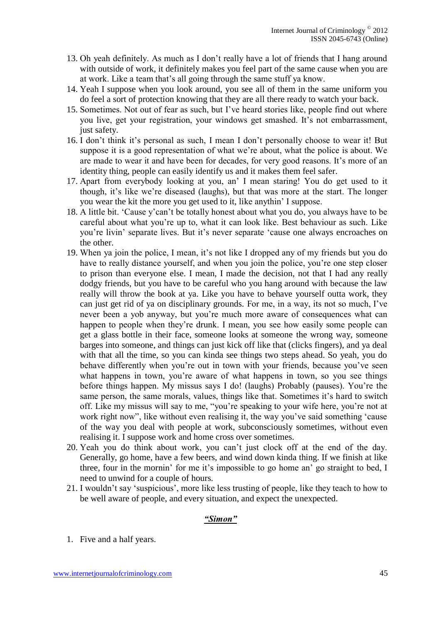- 13. Oh yeah definitely. As much as I don't really have a lot of friends that I hang around with outside of work, it definitely makes you feel part of the same cause when you are at work. Like a team that's all going through the same stuff ya know.
- 14. Yeah I suppose when you look around, you see all of them in the same uniform you do feel a sort of protection knowing that they are all there ready to watch your back.
- 15. Sometimes. Not out of fear as such, but I've heard stories like, people find out where you live, get your registration, your windows get smashed. It's not embarrassment, just safety.
- 16. I don't think it's personal as such, I mean I don't personally choose to wear it! But suppose it is a good representation of what we're about, what the police is about. We are made to wear it and have been for decades, for very good reasons. It's more of an identity thing, people can easily identify us and it makes them feel safer.
- 17. Apart from everybody looking at you, an' I mean staring! You do get used to it though, it's like we're diseased (laughs), but that was more at the start. The longer you wear the kit the more you get used to it, like anythin' I suppose.
- 18. A little bit. 'Cause y'can't be totally honest about what you do, you always have to be careful about what you're up to, what it can look like. Best behaviour as such. Like you're livin' separate lives. But it's never separate 'cause one always encroaches on the other.
- 19. When ya join the police, I mean, it's not like I dropped any of my friends but you do have to really distance yourself, and when you join the police, you're one step closer to prison than everyone else. I mean, I made the decision, not that I had any really dodgy friends, but you have to be careful who you hang around with because the law really will throw the book at ya. Like you have to behave yourself outta work, they can just get rid of ya on disciplinary grounds. For me, in a way, its not so much, I've never been a yob anyway, but you're much more aware of consequences what can happen to people when they're drunk. I mean, you see how easily some people can get a glass bottle in their face, someone looks at someone the wrong way, someone barges into someone, and things can just kick off like that (clicks fingers), and ya deal with that all the time, so you can kinda see things two steps ahead. So yeah, you do behave differently when you're out in town with your friends, because you've seen what happens in town, you're aware of what happens in town, so you see things before things happen. My missus says I do! (laughs) Probably (pauses). You're the same person, the same morals, values, things like that. Sometimes it's hard to switch off. Like my missus will say to me, "you're speaking to your wife here, you're not at work right now", like without even realising it, the way you've said something 'cause of the way you deal with people at work, subconsciously sometimes, without even realising it. I suppose work and home cross over sometimes.
- 20. Yeah you do think about work, you can't just clock off at the end of the day. Generally, go home, have a few beers, and wind down kinda thing. If we finish at like three, four in the mornin' for me it's impossible to go home an' go straight to bed, I need to unwind for a couple of hours.
- 21. I wouldn't say 'suspicious', more like less trusting of people, like they teach to how to be well aware of people, and every situation, and expect the unexpected.

## *"Simon"*

1. Five and a half years.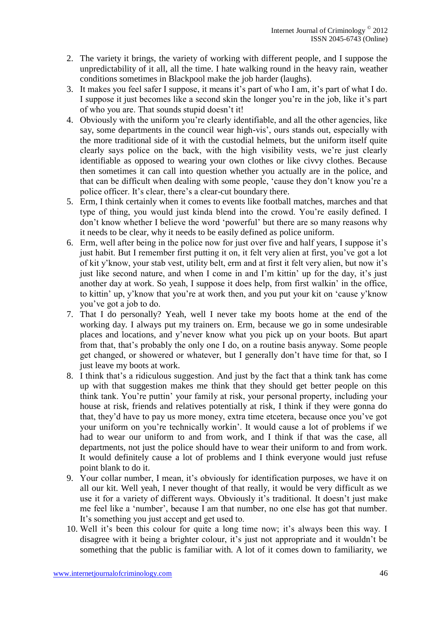- 2. The variety it brings, the variety of working with different people, and I suppose the unpredictability of it all, all the time. I hate walking round in the heavy rain, weather conditions sometimes in Blackpool make the job harder (laughs).
- 3. It makes you feel safer I suppose, it means it's part of who I am, it's part of what I do. I suppose it just becomes like a second skin the longer you're in the job, like it's part of who you are. That sounds stupid doesn't it!
- 4. Obviously with the uniform you're clearly identifiable, and all the other agencies, like say, some departments in the council wear high-vis', ours stands out, especially with the more traditional side of it with the custodial helmets, but the uniform itself quite clearly says police on the back, with the high visibility vests, we're just clearly identifiable as opposed to wearing your own clothes or like civvy clothes. Because then sometimes it can call into question whether you actually are in the police, and that can be difficult when dealing with some people, 'cause they don't know you're a police officer. It's clear, there's a clear-cut boundary there.
- 5. Erm, I think certainly when it comes to events like football matches, marches and that type of thing, you would just kinda blend into the crowd. You're easily defined. I don't know whether I believe the word 'powerful' but there are so many reasons why it needs to be clear, why it needs to be easily defined as police uniform.
- 6. Erm, well after being in the police now for just over five and half years, I suppose it's just habit. But I remember first putting it on, it felt very alien at first, you've got a lot of kit y'know, your stab vest, utility belt, erm and at first it felt very alien, but now it's just like second nature, and when I come in and I'm kittin' up for the day, it's just another day at work. So yeah, I suppose it does help, from first walkin' in the office, to kittin' up, y'know that you're at work then, and you put your kit on 'cause y'know you've got a job to do.
- 7. That I do personally? Yeah, well I never take my boots home at the end of the working day. I always put my trainers on. Erm, because we go in some undesirable places and locations, and y'never know what you pick up on your boots. But apart from that, that's probably the only one I do, on a routine basis anyway. Some people get changed, or showered or whatever, but I generally don't have time for that, so I just leave my boots at work.
- 8. I think that's a ridiculous suggestion. And just by the fact that a think tank has come up with that suggestion makes me think that they should get better people on this think tank. You're puttin' your family at risk, your personal property, including your house at risk, friends and relatives potentially at risk, I think if they were gonna do that, they'd have to pay us more money, extra time etcetera, because once you've got your uniform on you're technically workin'. It would cause a lot of problems if we had to wear our uniform to and from work, and I think if that was the case, all departments, not just the police should have to wear their uniform to and from work. It would definitely cause a lot of problems and I think everyone would just refuse point blank to do it.
- 9. Your collar number, I mean, it's obviously for identification purposes, we have it on all our kit. Well yeah, I never thought of that really, it would be very difficult as we use it for a variety of different ways. Obviously it's traditional. It doesn't just make me feel like a 'number', because I am that number, no one else has got that number. It's something you just accept and get used to.
- 10. Well it's been this colour for quite a long time now; it's always been this way. I disagree with it being a brighter colour, it's just not appropriate and it wouldn't be something that the public is familiar with. A lot of it comes down to familiarity, we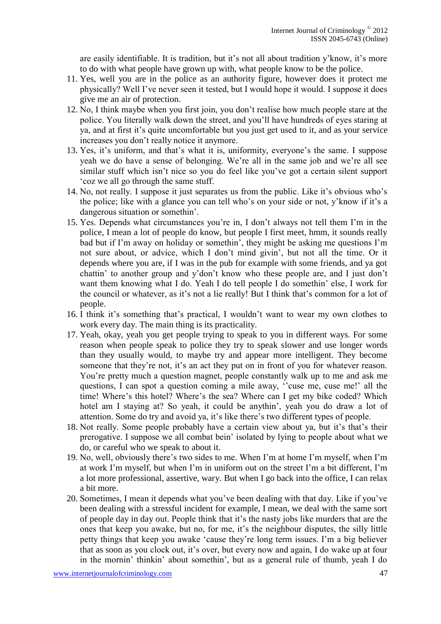are easily identifiable. It is tradition, but it's not all about tradition y'know, it's more to do with what people have grown up with, what people know to be the police.

- 11. Yes, well you are in the police as an authority figure, however does it protect me physically? Well I've never seen it tested, but I would hope it would. I suppose it does give me an air of protection.
- 12. No, I think maybe when you first join, you don't realise how much people stare at the police. You literally walk down the street, and you'll have hundreds of eyes staring at ya, and at first it's quite uncomfortable but you just get used to it, and as your service increases you don't really notice it anymore.
- 13. Yes, it's uniform, and that's what it is, uniformity, everyone's the same. I suppose yeah we do have a sense of belonging. We're all in the same job and we're all see similar stuff which isn't nice so you do feel like you've got a certain silent support 'coz we all go through the same stuff.
- 14. No, not really. I suppose it just separates us from the public. Like it's obvious who's the police; like with a glance you can tell who's on your side or not, y'know if it's a dangerous situation or somethin'.
- 15. Yes. Depends what circumstances you're in, I don't always not tell them I'm in the police, I mean a lot of people do know, but people I first meet, hmm, it sounds really bad but if I'm away on holiday or somethin', they might be asking me questions I'm not sure about, or advice, which I don't mind givin', but not all the time. Or it depends where you are, if I was in the pub for example with some friends, and ya got chattin' to another group and y'don't know who these people are, and I just don't want them knowing what I do. Yeah I do tell people I do somethin' else, I work for the council or whatever, as it's not a lie really! But I think that's common for a lot of people.
- 16. I think it's something that's practical, I wouldn't want to wear my own clothes to work every day. The main thing is its practicality.
- 17. Yeah, okay, yeah you get people trying to speak to you in different ways. For some reason when people speak to police they try to speak slower and use longer words than they usually would, to maybe try and appear more intelligent. They become someone that they're not, it's an act they put on in front of you for whatever reason. You're pretty much a question magnet, people constantly walk up to me and ask me questions, I can spot a question coming a mile away, "cuse me, cuse me!' all the time! Where's this hotel? Where's the sea? Where can I get my bike coded? Which hotel am I staying at? So yeah, it could be anythin', yeah you do draw a lot of attention. Some do try and avoid ya, it's like there's two different types of people.
- 18. Not really. Some people probably have a certain view about ya, but it's that's their prerogative. I suppose we all combat bein' isolated by lying to people about what we do, or careful who we speak to about it.
- 19. No, well, obviously there's two sides to me. When I'm at home I'm myself, when I'm at work I'm myself, but when I'm in uniform out on the street I'm a bit different, I'm a lot more professional, assertive, wary. But when I go back into the office, I can relax a bit more.
- 20. Sometimes, I mean it depends what you've been dealing with that day. Like if you've been dealing with a stressful incident for example, I mean, we deal with the same sort of people day in day out. People think that it's the nasty jobs like murders that are the ones that keep you awake, but no, for me, it's the neighbour disputes, the silly little petty things that keep you awake 'cause they're long term issues. I'm a big believer that as soon as you clock out, it's over, but every now and again, I do wake up at four in the mornin' thinkin' about somethin', but as a general rule of thumb, yeah I do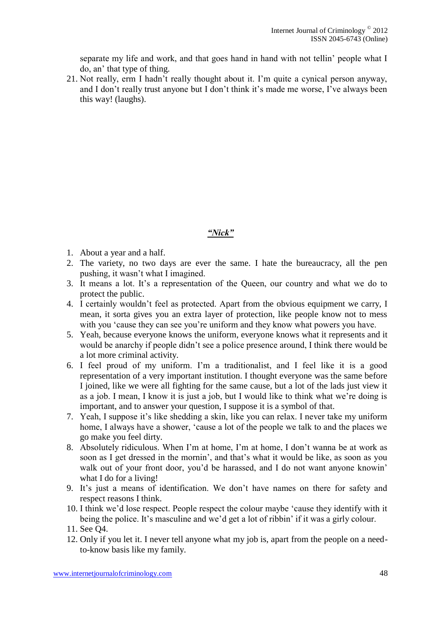separate my life and work, and that goes hand in hand with not tellin' people what I do, an' that type of thing.

21. Not really, erm I hadn't really thought about it. I'm quite a cynical person anyway, and I don't really trust anyone but I don't think it's made me worse, I've always been this way! (laughs).

# *"Nick"*

- 1. About a year and a half.
- 2. The variety, no two days are ever the same. I hate the bureaucracy, all the pen pushing, it wasn't what I imagined.
- 3. It means a lot. It's a representation of the Queen, our country and what we do to protect the public.
- 4. I certainly wouldn't feel as protected. Apart from the obvious equipment we carry, I mean, it sorta gives you an extra layer of protection, like people know not to mess with you 'cause they can see you're uniform and they know what powers you have.
- 5. Yeah, because everyone knows the uniform, everyone knows what it represents and it would be anarchy if people didn't see a police presence around, I think there would be a lot more criminal activity.
- 6. I feel proud of my uniform. I'm a traditionalist, and I feel like it is a good representation of a very important institution. I thought everyone was the same before I joined, like we were all fighting for the same cause, but a lot of the lads just view it as a job. I mean, I know it is just a job, but I would like to think what we're doing is important, and to answer your question, I suppose it is a symbol of that.
- 7. Yeah, I suppose it's like shedding a skin, like you can relax. I never take my uniform home, I always have a shower, 'cause a lot of the people we talk to and the places we go make you feel dirty.
- 8. Absolutely ridiculous. When I'm at home, I'm at home, I don't wanna be at work as soon as I get dressed in the mornin', and that's what it would be like, as soon as you walk out of your front door, you'd be harassed, and I do not want anyone knowin' what I do for a living!
- 9. It's just a means of identification. We don't have names on there for safety and respect reasons I think.
- 10. I think we'd lose respect. People respect the colour maybe 'cause they identify with it being the police. It's masculine and we'd get a lot of ribbin' if it was a girly colour.
- 11. See Q4.
- 12. Only if you let it. I never tell anyone what my job is, apart from the people on a needto-know basis like my family.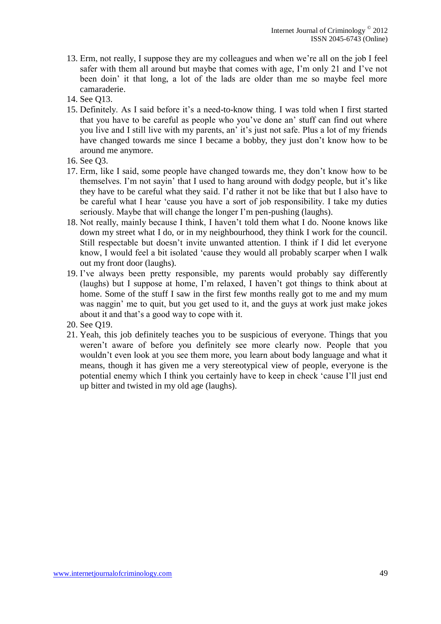- 13. Erm, not really, I suppose they are my colleagues and when we're all on the job I feel safer with them all around but maybe that comes with age, I'm only 21 and I've not been doin' it that long, a lot of the lads are older than me so maybe feel more camaraderie.
- 14. See Q13.
- 15. Definitely. As I said before it's a need-to-know thing. I was told when I first started that you have to be careful as people who you've done an' stuff can find out where you live and I still live with my parents, an' it's just not safe. Plus a lot of my friends have changed towards me since I became a bobby, they just don't know how to be around me anymore.
- 16. See Q3.
- 17. Erm, like I said, some people have changed towards me, they don't know how to be themselves. I'm not sayin' that I used to hang around with dodgy people, but it's like they have to be careful what they said. I'd rather it not be like that but I also have to be careful what I hear 'cause you have a sort of job responsibility. I take my duties seriously. Maybe that will change the longer I'm pen-pushing (laughs).
- 18. Not really, mainly because I think, I haven't told them what I do. Noone knows like down my street what I do, or in my neighbourhood, they think I work for the council. Still respectable but doesn't invite unwanted attention. I think if I did let everyone know, I would feel a bit isolated 'cause they would all probably scarper when I walk out my front door (laughs).
- 19. I've always been pretty responsible, my parents would probably say differently (laughs) but I suppose at home, I'm relaxed, I haven't got things to think about at home. Some of the stuff I saw in the first few months really got to me and my mum was naggin' me to quit, but you get used to it, and the guys at work just make jokes about it and that's a good way to cope with it.
- 20. See Q19.
- 21. Yeah, this job definitely teaches you to be suspicious of everyone. Things that you weren't aware of before you definitely see more clearly now. People that you wouldn't even look at you see them more, you learn about body language and what it means, though it has given me a very stereotypical view of people, everyone is the potential enemy which I think you certainly have to keep in check 'cause I'll just end up bitter and twisted in my old age (laughs).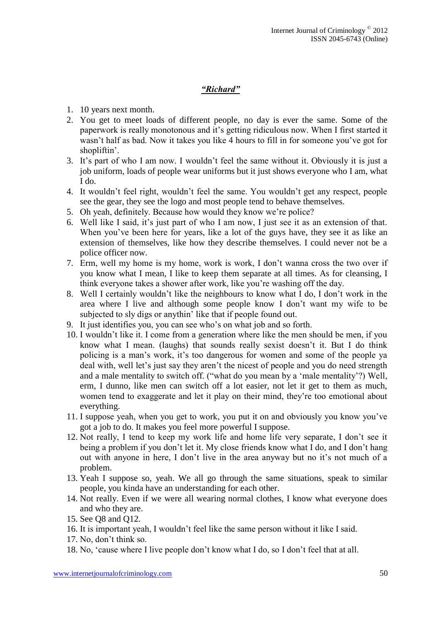# *"Richard"*

- 1. 10 years next month.
- 2. You get to meet loads of different people, no day is ever the same. Some of the paperwork is really monotonous and it's getting ridiculous now. When I first started it wasn't half as bad. Now it takes you like 4 hours to fill in for someone you've got for shopliftin'.
- 3. It's part of who I am now. I wouldn't feel the same without it. Obviously it is just a job uniform, loads of people wear uniforms but it just shows everyone who I am, what I do.
- 4. It wouldn't feel right, wouldn't feel the same. You wouldn't get any respect, people see the gear, they see the logo and most people tend to behave themselves.
- 5. Oh yeah, definitely. Because how would they know we're police?
- 6. Well like I said, it's just part of who I am now, I just see it as an extension of that. When you've been here for years, like a lot of the guys have, they see it as like an extension of themselves, like how they describe themselves. I could never not be a police officer now.
- 7. Erm, well my home is my home, work is work, I don't wanna cross the two over if you know what I mean, I like to keep them separate at all times. As for cleansing, I think everyone takes a shower after work, like you're washing off the day.
- 8. Well I certainly wouldn't like the neighbours to know what I do, I don't work in the area where I live and although some people know I don't want my wife to be subjected to sly digs or anythin' like that if people found out.
- 9. It just identifies you, you can see who's on what job and so forth.
- 10. I wouldn't like it. I come from a generation where like the men should be men, if you know what I mean. (laughs) that sounds really sexist doesn't it. But I do think policing is a man's work, it's too dangerous for women and some of the people ya deal with, well let's just say they aren't the nicest of people and you do need strength and a male mentality to switch off. ("what do you mean by a 'male mentality'?) Well, erm, I dunno, like men can switch off a lot easier, not let it get to them as much, women tend to exaggerate and let it play on their mind, they're too emotional about everything.
- 11. I suppose yeah, when you get to work, you put it on and obviously you know you've got a job to do. It makes you feel more powerful I suppose.
- 12. Not really, I tend to keep my work life and home life very separate, I don't see it being a problem if you don't let it. My close friends know what I do, and I don't hang out with anyone in here, I don't live in the area anyway but no it's not much of a problem.
- 13. Yeah I suppose so, yeah. We all go through the same situations, speak to similar people, you kinda have an understanding for each other.
- 14. Not really. Even if we were all wearing normal clothes, I know what everyone does and who they are.
- 15. See Q8 and Q12.
- 16. It is important yeah, I wouldn't feel like the same person without it like I said.
- 17. No, don't think so.
- 18. No, 'cause where I live people don't know what I do, so I don't feel that at all.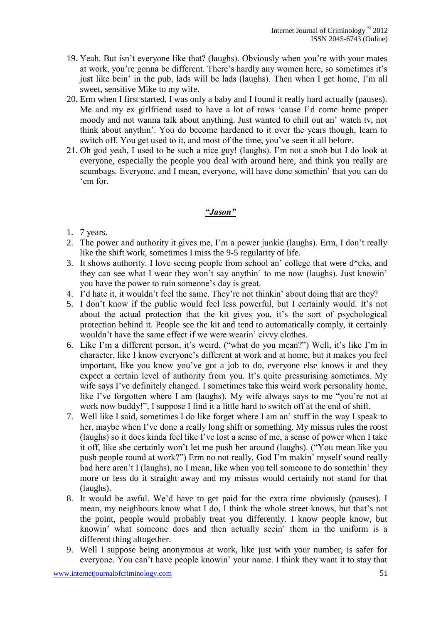- 19. Yeah. But isn't everyone like that? (laughs). Obviously when you're with your mates at work, you're gonna be different. There's hardly any women here, so sometimes it's just like bein' in the pub, lads will be lads (laughs). Then when I get home, I'm all sweet, sensitive Mike to my wife.
- 20. Erm when I first started, I was only a baby and I found it really hard actually (pauses). Me and my ex girlfriend used to have a lot of rows 'cause I'd come home proper moody and not wanna talk about anything. Just wanted to chill out an' watch tv, not think about anythin'. You do become hardened to it over the years though, learn to switch off. You get used to it, and most of the time, you've seen it all before.
- 21. Oh god yeah, I used to be such a nice guy! (laughs). I'm not a snob but I do look at everyone, especially the people you deal with around here, and think you really are scumbags. Everyone, and I mean, everyone, will have done somethin' that you can do 'em for.

## *"Jason"*

- 1. 7 years.
- 2. The power and authority it gives me, I'm a power junkie (laughs). Erm, I don't really like the shift work, sometimes I miss the 9-5 regularity of life.
- 3. It shows authority. I love seeing people from school an' college that were d\*cks, and they can see what I wear they won't say anythin' to me now (laughs). Just knowin' you have the power to ruin someone's day is great.
- 4. I'd hate it, it wouldn't feel the same. They're not thinkin' about doing that are they?
- 5. I don't know if the public would feel less powerful, but I certainly would. It's not about the actual protection that the kit gives you, it's the sort of psychological protection behind it. People see the kit and tend to automatically comply, it certainly wouldn't have the same effect if we were wearin' civvy clothes.
- 6. Like I'm a different person, it's weird. ("what do you mean?") Well, it's like I'm in character, like I know everyone's different at work and at home, but it makes you feel important, like you know you've got a job to do, everyone else knows it and they expect a certain level of authority from you. It's quite pressurising sometimes. My wife says I've definitely changed. I sometimes take this weird work personality home, like I've forgotten where I am (laughs). My wife always says to me "you're not at work now buddy!", I suppose I find it a little hard to switch off at the end of shift.
- 7. Well like I said, sometimes I do like forget where I am an' stuff in the way I speak to her, maybe when I've done a really long shift or something. My missus rules the roost (laughs) so it does kinda feel like I've lost a sense of me, a sense of power when I take it off, like she certainly won't let me push her around (laughs). ("You mean like you push people round at work?") Erm no not really, God I'm makin' myself sound really bad here aren't I (laughs), no I mean, like when you tell someone to do somethin' they more or less do it straight away and my missus would certainly not stand for that (laughs).
- 8. It would be awful. We'd have to get paid for the extra time obviously (pauses). I mean, my neighbours know what I do, I think the whole street knows, but that's not the point, people would probably treat you differently. I know people know, but knowin' what someone does and then actually seein' them in the uniform is a different thing altogether.
- 9. Well I suppose being anonymous at work, like just with your number, is safer for everyone. You can't have people knowin' your name. I think they want it to stay that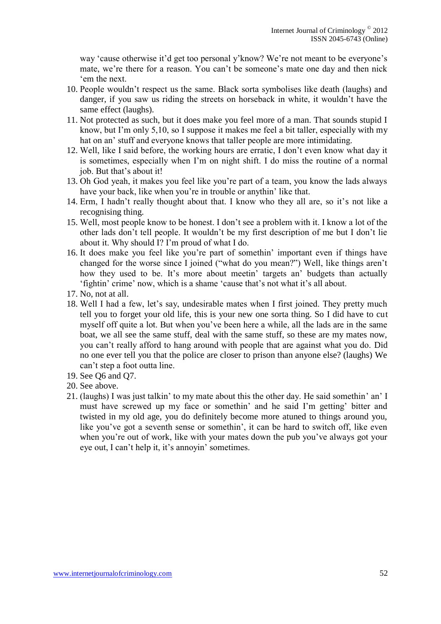way 'cause otherwise it'd get too personal y'know? We're not meant to be everyone's mate, we're there for a reason. You can't be someone's mate one day and then nick 'em the next.

- 10. People wouldn't respect us the same. Black sorta symbolises like death (laughs) and danger, if you saw us riding the streets on horseback in white, it wouldn't have the same effect (laughs).
- 11. Not protected as such, but it does make you feel more of a man. That sounds stupid I know, but I'm only 5,10, so I suppose it makes me feel a bit taller, especially with my hat on an' stuff and everyone knows that taller people are more intimidating.
- 12. Well, like I said before, the working hours are erratic, I don't even know what day it is sometimes, especially when I'm on night shift. I do miss the routine of a normal job. But that's about it!
- 13. Oh God yeah, it makes you feel like you're part of a team, you know the lads always have your back, like when you're in trouble or anythin' like that.
- 14. Erm, I hadn't really thought about that. I know who they all are, so it's not like a recognising thing.
- 15. Well, most people know to be honest. I don't see a problem with it. I know a lot of the other lads don't tell people. It wouldn't be my first description of me but I don't lie about it. Why should I? I'm proud of what I do.
- 16. It does make you feel like you're part of somethin' important even if things have changed for the worse since I joined ("what do you mean?") Well, like things aren't how they used to be. It's more about meetin' targets an' budgets than actually 'fightin' crime' now, which is a shame 'cause that's not what it's all about.
- 17. No, not at all.
- 18. Well I had a few, let's say, undesirable mates when I first joined. They pretty much tell you to forget your old life, this is your new one sorta thing. So I did have to cut myself off quite a lot. But when you've been here a while, all the lads are in the same boat, we all see the same stuff, deal with the same stuff, so these are my mates now, you can't really afford to hang around with people that are against what you do. Did no one ever tell you that the police are closer to prison than anyone else? (laughs) We can't step a foot outta line.
- 19. See Q6 and Q7.
- 20. See above.
- 21. (laughs) I was just talkin' to my mate about this the other day. He said somethin' an' I must have screwed up my face or somethin' and he said I'm getting' bitter and twisted in my old age, you do definitely become more atuned to things around you, like you've got a seventh sense or somethin', it can be hard to switch off, like even when you're out of work, like with your mates down the pub you've always got your eye out, I can't help it, it's annoyin' sometimes.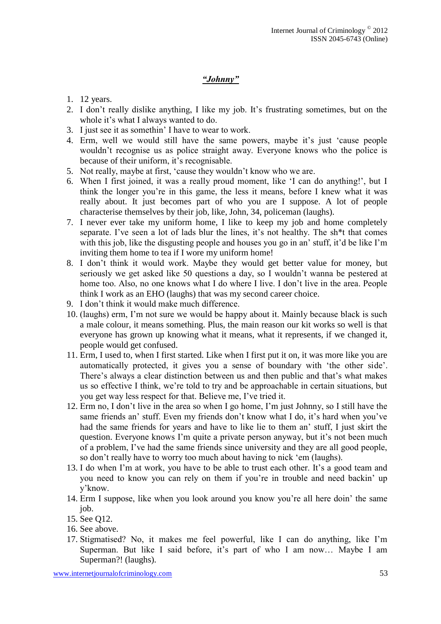# *"Johnny"*

- 1. 12 years.
- 2. I don't really dislike anything, I like my job. It's frustrating sometimes, but on the whole it's what I always wanted to do.
- 3. I just see it as somethin' I have to wear to work.
- 4. Erm, well we would still have the same powers, maybe it's just 'cause people wouldn't recognise us as police straight away. Everyone knows who the police is because of their uniform, it's recognisable.
- 5. Not really, maybe at first, 'cause they wouldn't know who we are.
- 6. When I first joined, it was a really proud moment, like 'I can do anything!', but I think the longer you're in this game, the less it means, before I knew what it was really about. It just becomes part of who you are I suppose. A lot of people characterise themselves by their job, like, John, 34, policeman (laughs).
- 7. I never ever take my uniform home, I like to keep my job and home completely separate. I've seen a lot of lads blur the lines, it's not healthy. The sh\*t that comes with this job, like the disgusting people and houses you go in an' stuff, it'd be like I'm inviting them home to tea if I wore my uniform home!
- 8. I don't think it would work. Maybe they would get better value for money, but seriously we get asked like 50 questions a day, so I wouldn't wanna be pestered at home too. Also, no one knows what I do where I live. I don't live in the area. People think I work as an EHO (laughs) that was my second career choice.
- 9. I don't think it would make much difference.
- 10. (laughs) erm, I'm not sure we would be happy about it. Mainly because black is such a male colour, it means something. Plus, the main reason our kit works so well is that everyone has grown up knowing what it means, what it represents, if we changed it, people would get confused.
- 11. Erm, I used to, when I first started. Like when I first put it on, it was more like you are automatically protected, it gives you a sense of boundary with 'the other side'. There's always a clear distinction between us and then public and that's what makes us so effective I think, we're told to try and be approachable in certain situations, but you get way less respect for that. Believe me, I've tried it.
- 12. Erm no, I don't live in the area so when I go home, I'm just Johnny, so I still have the same friends an' stuff. Even my friends don't know what I do, it's hard when you've had the same friends for years and have to like lie to them an' stuff, I just skirt the question. Everyone knows I'm quite a private person anyway, but it's not been much of a problem, I've had the same friends since university and they are all good people, so don't really have to worry too much about having to nick 'em (laughs).
- 13. I do when I'm at work, you have to be able to trust each other. It's a good team and you need to know you can rely on them if you're in trouble and need backin' up y'know.
- 14. Erm I suppose, like when you look around you know you're all here doin' the same job.

- 16. See above.
- 17. Stigmatised? No, it makes me feel powerful, like I can do anything, like I'm Superman. But like I said before, it's part of who I am now… Maybe I am Superman?! (laughs).

<sup>15.</sup> See Q12.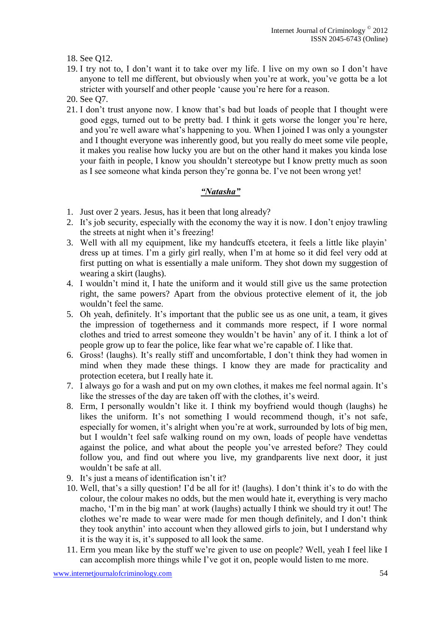18. See Q12.

- 19. I try not to, I don't want it to take over my life. I live on my own so I don't have anyone to tell me different, but obviously when you're at work, you've gotta be a lot stricter with yourself and other people 'cause you're here for a reason.
- 20. See Q7.
- 21. I don't trust anyone now. I know that's bad but loads of people that I thought were good eggs, turned out to be pretty bad. I think it gets worse the longer you're here, and you're well aware what's happening to you. When I joined I was only a youngster and I thought everyone was inherently good, but you really do meet some vile people, it makes you realise how lucky you are but on the other hand it makes you kinda lose your faith in people, I know you shouldn't stereotype but I know pretty much as soon as I see someone what kinda person they're gonna be. I've not been wrong yet!

# *"Natasha"*

- 1. Just over 2 years. Jesus, has it been that long already?
- 2. It's job security, especially with the economy the way it is now. I don't enjoy trawling the streets at night when it's freezing!
- 3. Well with all my equipment, like my handcuffs etcetera, it feels a little like playin' dress up at times. I'm a girly girl really, when I'm at home so it did feel very odd at first putting on what is essentially a male uniform. They shot down my suggestion of wearing a skirt (laughs).
- 4. I wouldn't mind it, I hate the uniform and it would still give us the same protection right, the same powers? Apart from the obvious protective element of it, the job wouldn't feel the same.
- 5. Oh yeah, definitely. It's important that the public see us as one unit, a team, it gives the impression of togetherness and it commands more respect, if I wore normal clothes and tried to arrest someone they wouldn't be havin' any of it. I think a lot of people grow up to fear the police, like fear what we're capable of. I like that.
- 6. Gross! (laughs). It's really stiff and uncomfortable, I don't think they had women in mind when they made these things. I know they are made for practicality and protection ecetera, but I really hate it.
- 7. I always go for a wash and put on my own clothes, it makes me feel normal again. It's like the stresses of the day are taken off with the clothes, it's weird.
- 8. Erm, I personally wouldn't like it. I think my boyfriend would though (laughs) he likes the uniform. It's not something I would recommend though, it's not safe, especially for women, it's alright when you're at work, surrounded by lots of big men, but I wouldn't feel safe walking round on my own, loads of people have vendettas against the police, and what about the people you've arrested before? They could follow you, and find out where you live, my grandparents live next door, it just wouldn't be safe at all.
- 9. It's just a means of identification isn't it?
- 10. Well, that's a silly question! I'd be all for it! (laughs). I don't think it's to do with the colour, the colour makes no odds, but the men would hate it, everything is very macho macho, 'I'm in the big man' at work (laughs) actually I think we should try it out! The clothes we're made to wear were made for men though definitely, and I don't think they took anythin' into account when they allowed girls to join, but I understand why it is the way it is, it's supposed to all look the same.
- 11. Erm you mean like by the stuff we're given to use on people? Well, yeah I feel like I can accomplish more things while I've got it on, people would listen to me more.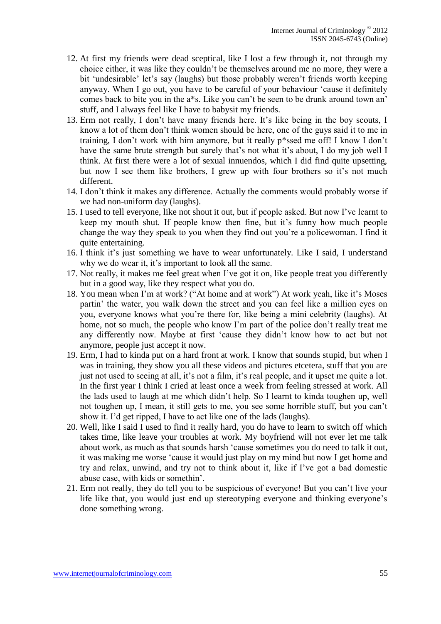- 12. At first my friends were dead sceptical, like I lost a few through it, not through my choice either, it was like they couldn't be themselves around me no more, they were a bit 'undesirable' let's say (laughs) but those probably weren't friends worth keeping anyway. When I go out, you have to be careful of your behaviour 'cause it definitely comes back to bite you in the a\*s. Like you can't be seen to be drunk around town an' stuff, and I always feel like I have to babysit my friends.
- 13. Erm not really, I don't have many friends here. It's like being in the boy scouts, I know a lot of them don't think women should be here, one of the guys said it to me in training, I don't work with him anymore, but it really p\*ssed me off! I know I don't have the same brute strength but surely that's not what it's about, I do my job well I think. At first there were a lot of sexual innuendos, which I did find quite upsetting, but now I see them like brothers, I grew up with four brothers so it's not much different.
- 14. I don't think it makes any difference. Actually the comments would probably worse if we had non-uniform day (laughs).
- 15. I used to tell everyone, like not shout it out, but if people asked. But now I've learnt to keep my mouth shut. If people know then fine, but it's funny how much people change the way they speak to you when they find out you're a policewoman. I find it quite entertaining.
- 16. I think it's just something we have to wear unfortunately. Like I said, I understand why we do wear it, it's important to look all the same.
- 17. Not really, it makes me feel great when I've got it on, like people treat you differently but in a good way, like they respect what you do.
- 18. You mean when I'm at work? ("At home and at work") At work yeah, like it's Moses partin' the water, you walk down the street and you can feel like a million eyes on you, everyone knows what you're there for, like being a mini celebrity (laughs). At home, not so much, the people who know I'm part of the police don't really treat me any differently now. Maybe at first 'cause they didn't know how to act but not anymore, people just accept it now.
- 19. Erm, I had to kinda put on a hard front at work. I know that sounds stupid, but when I was in training, they show you all these videos and pictures etcetera, stuff that you are just not used to seeing at all, it's not a film, it's real people, and it upset me quite a lot. In the first year I think I cried at least once a week from feeling stressed at work. All the lads used to laugh at me which didn't help. So I learnt to kinda toughen up, well not toughen up, I mean, it still gets to me, you see some horrible stuff, but you can't show it. I'd get ripped, I have to act like one of the lads (laughs).
- 20. Well, like I said I used to find it really hard, you do have to learn to switch off which takes time, like leave your troubles at work. My boyfriend will not ever let me talk about work, as much as that sounds harsh 'cause sometimes you do need to talk it out, it was making me worse 'cause it would just play on my mind but now I get home and try and relax, unwind, and try not to think about it, like if I've got a bad domestic abuse case, with kids or somethin'.
- 21. Erm not really, they do tell you to be suspicious of everyone! But you can't live your life like that, you would just end up stereotyping everyone and thinking everyone's done something wrong.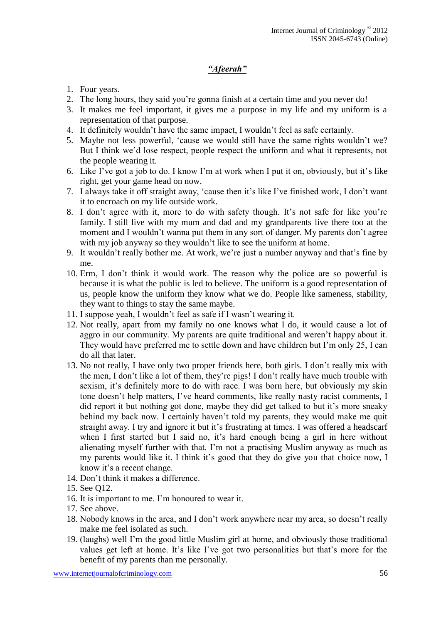# *"Afeerah"*

- 1. Four years.
- 2. The long hours, they said you're gonna finish at a certain time and you never do!
- 3. It makes me feel important, it gives me a purpose in my life and my uniform is a representation of that purpose.
- 4. It definitely wouldn't have the same impact, I wouldn't feel as safe certainly.
- 5. Maybe not less powerful, 'cause we would still have the same rights wouldn't we? But I think we'd lose respect, people respect the uniform and what it represents, not the people wearing it.
- 6. Like I've got a job to do. I know I'm at work when I put it on, obviously, but it's like right, get your game head on now.
- 7. I always take it off straight away, 'cause then it's like I've finished work, I don't want it to encroach on my life outside work.
- 8. I don't agree with it, more to do with safety though. It's not safe for like you're family. I still live with my mum and dad and my grandparents live there too at the moment and I wouldn't wanna put them in any sort of danger. My parents don't agree with my job anyway so they wouldn't like to see the uniform at home.
- 9. It wouldn't really bother me. At work, we're just a number anyway and that's fine by me.
- 10. Erm, I don't think it would work. The reason why the police are so powerful is because it is what the public is led to believe. The uniform is a good representation of us, people know the uniform they know what we do. People like sameness, stability, they want to things to stay the same maybe.
- 11. I suppose yeah, I wouldn't feel as safe if I wasn't wearing it.
- 12. Not really, apart from my family no one knows what I do, it would cause a lot of aggro in our community. My parents are quite traditional and weren't happy about it. They would have preferred me to settle down and have children but I'm only 25, I can do all that later.
- 13. No not really, I have only two proper friends here, both girls. I don't really mix with the men, I don't like a lot of them, they're pigs! I don't really have much trouble with sexism, it's definitely more to do with race. I was born here, but obviously my skin tone doesn't help matters, I've heard comments, like really nasty racist comments, I did report it but nothing got done, maybe they did get talked to but it's more sneaky behind my back now. I certainly haven't told my parents, they would make me quit straight away. I try and ignore it but it's frustrating at times. I was offered a headscarf when I first started but I said no, it's hard enough being a girl in here without alienating myself further with that. I'm not a practising Muslim anyway as much as my parents would like it. I think it's good that they do give you that choice now, I know it's a recent change.
- 14. Don't think it makes a difference.
- 15. See Q12.
- 16. It is important to me. I'm honoured to wear it.
- 17. See above.
- 18. Nobody knows in the area, and I don't work anywhere near my area, so doesn't really make me feel isolated as such.
- 19. (laughs) well I'm the good little Muslim girl at home, and obviously those traditional values get left at home. It's like I've got two personalities but that's more for the benefit of my parents than me personally.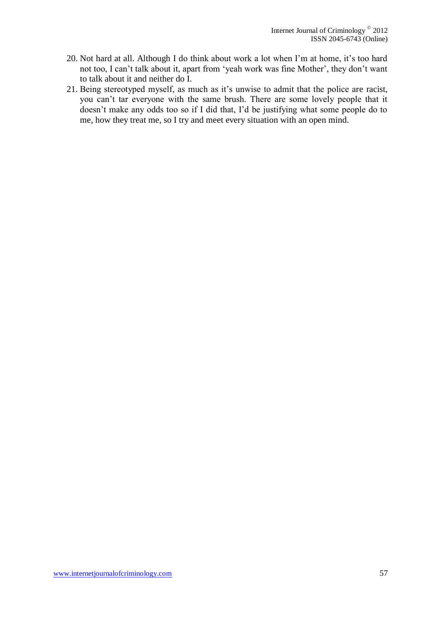- 20. Not hard at all. Although I do think about work a lot when I'm at home, it's too hard not too, I can't talk about it, apart from 'yeah work was fine Mother', they don't want to talk about it and neither do I.
- 21. Being stereotyped myself, as much as it's unwise to admit that the police are racist, you can't tar everyone with the same brush. There are some lovely people that it doesn't make any odds too so if I did that, I'd be justifying what some people do to me, how they treat me, so I try and meet every situation with an open mind.